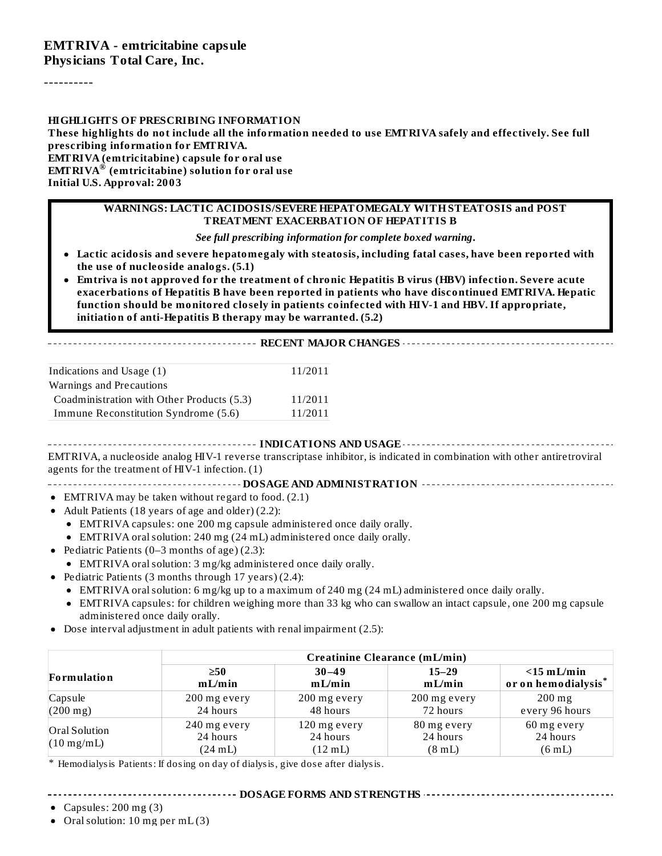----------

**HIGHLIGHTS OF PRESCRIBING INFORMATION** These highlights do not include all the information needed to use EMTRIVA safely and effectively. See full **prescribing information for EMTRIVA. EMTRIVA (emtricitabine) capsule for oral use EMTRIVA (emtricitabine) solution for oral use ® Initial U.S. Approval: 2003**

#### **WARNINGS: LACTIC ACIDOSIS/SEVERE HEPATOMEGALY WITHSTEATOSIS and POST TREATMENT EXACERBATION OF HEPATITIS B**

*See full prescribing information for complete boxed warning***.**

- **Lactic acidosis and severe hepatomegaly with steatosis, including fatal cases, have been reported with the use of nucleoside analogs. (5.1)**
- **Emtriva is not approved for the treatment of chronic Hepatitis B virus (HBV) infection. Severe acute exacerbations of Hepatitis B have been reported in patients who have discontinued EMTRIVA. Hepatic function should be monitored closely in patients coinfected with HIV-1 and HBV. If appropriate, initiation of anti-Hepatitis B therapy may be warranted. (5.2)**

**RECENT MAJOR CHANGES**

| Indications and Usage (1)                  | 11/2011 |
|--------------------------------------------|---------|
| Warnings and Precautions                   |         |
| Coadministration with Other Products (5.3) | 11/2011 |

**INDICATIONS AND USAGE** EMTRIVA, a nucleoside analog HIV-1 reverse transcriptase inhibitor, is indicated in combination with other antiretroviral agents for the treatment of HIV-1 infection. (1)

**DOSAGE AND ADMINISTRATION**

• EMTRIVA may be taken without regard to food.  $(2.1)$ 

Immune Reconstitution Syndrome (5.6) 11/2011

- Adult Patients (18 years of age and older) (2.2):
	- EMTRIVA capsules: one 200 mg capsule administered once daily orally.
	- EMTRIVA oralsolution: 240 mg (24 mL) administered once daily orally.
- Pediatric Patients  $(0-3$  months of age)  $(2.3)$ :
	- EMTRIVA oralsolution: 3 mg/kg administered once daily orally.
- Pediatric Patients (3 months through 17 years) (2.4):
	- EMTRIVA oralsolution: 6 mg/kg up to a maximum of 240 mg (24 mL) administered once daily orally.
	- EMTRIVA capsules: for children weighing more than 33 kg who can swallow an intact capsule, one 200 mg capsule administered once daily orally.
- Dose interval adjustment in adult patients with renal impairment (2.5):

|                                       |                                               |                                     | Creatinine Clearance (mL/min)               |                                             |
|---------------------------------------|-----------------------------------------------|-------------------------------------|---------------------------------------------|---------------------------------------------|
| Formulation                           | $\geq 50$                                     | $30 - 49$                           | $15 - 29$                                   | $\leq$ 15 mL/min                            |
|                                       | mL/min                                        | mL/min                              | mL/min                                      | or on hemodialysis*                         |
| Capsule                               | 200 mg every                                  | 200 mg every                        | 200 mg every                                | $200$ mg                                    |
| $(200 \text{ mg})$                    | 24 hours                                      | 48 hours                            | 72 hours                                    | every 96 hours                              |
| Oral Solution<br>$(10 \text{ mg/mL})$ | 240 mg every<br>24 hours<br>$(24 \text{ mL})$ | 120 mg every<br>24 hours<br>(12 mL) | 80 mg every<br>24 hours<br>$(8 \text{ mL})$ | 60 mg every<br>24 hours<br>$(6 \text{ mL})$ |

\* Hemodialysis Patients: If dosing on day of dialysis, give dose after dialysis.

**DOSAGE FORMS AND STRENGTHS**

Capsules: 200 mg (3)

Oralsolution: 10 mg per mL (3)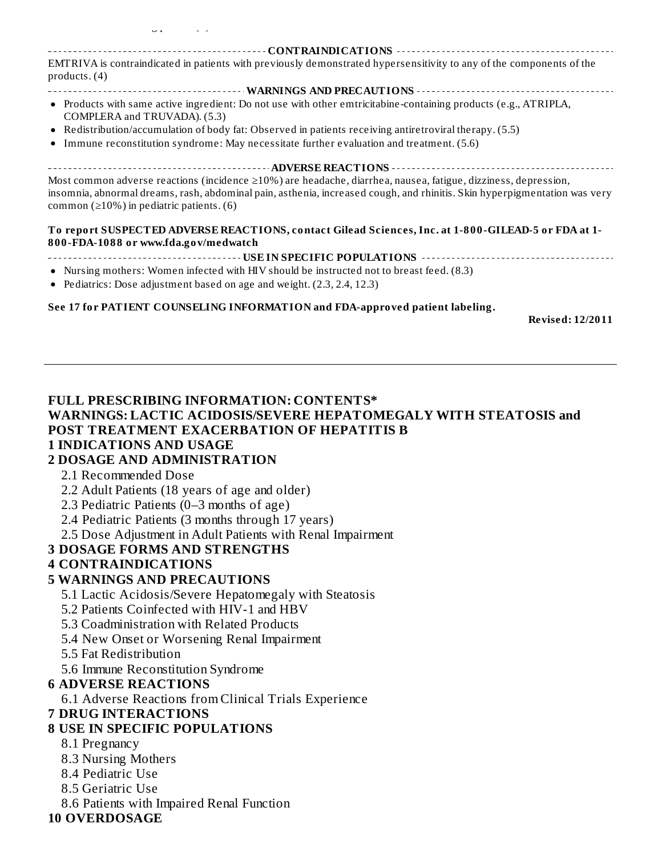**CONTRAINDICATIONS** EMTRIVA is contraindicated in patients with previously demonstrated hypersensitivity to any of the components of the products. (4)

- **WARNINGS AND PRECAUTIONS**
- Products with same active ingredient: Do not use with other emtricitabine-containing products (e.g., ATRIPLA, COMPLERA and TRUVADA). (5.3)
- Redistribution/accumulation of body fat: Observed in patients receiving antiretroviral therapy. (5.5)  $\bullet$
- Immune reconstitution syndrome: May necessitate further evaluation and treatment. (5.6)  $\bullet$
- **ADVERSE REACTIONS** -----------------------------------

Most common adverse reactions (incidence ≥10%) are headache, diarrhea, nausea, fatigue, dizziness, depression, insomnia, abnormal dreams, rash, abdominal pain, asthenia, increased cough, and rhinitis. Skin hyperpigmentation was very common ( $\geq$ 10%) in pediatric patients. (6)

#### **To report SUSPECTED ADVERSE REACTIONS, contact Gilead Sciences, Inc. at 1-800-GILEAD-5 or FDA at 1- 800-FDA-1088 or www.fda.gov/medwatch**

- **USE IN SPECIFIC POPULATIONS**
- Nursing mothers: Women infected with HIV should be instructed not to breast feed. (8.3)
- Pediatrics: Dose adjustment based on age and weight. (2.3, 2.4, 12.3)

#### **See 17 for PATIENT COUNSELING INFORMATION and FDA-approved patient labeling.**

**Revised: 12/2011**

# **FULL PRESCRIBING INFORMATION: CONTENTS\***

### **WARNINGS: LACTIC ACIDOSIS/SEVERE HEPATOMEGALY WITH STEATOSIS and POST TREATMENT EXACERBATION OF HEPATITIS B**

#### **1 INDICATIONS AND USAGE**

Oralsolution: 10 mg per mL (3)

### **2 DOSAGE AND ADMINISTRATION**

### 2.1 Recommended Dose

- 2.2 Adult Patients (18 years of age and older)
- 2.3 Pediatric Patients (0–3 months of age)
- 2.4 Pediatric Patients (3 months through 17 years)
- 2.5 Dose Adjustment in Adult Patients with Renal Impairment

# **3 DOSAGE FORMS AND STRENGTHS**

### **4 CONTRAINDICATIONS**

### **5 WARNINGS AND PRECAUTIONS**

- 5.1 Lactic Acidosis/Severe Hepatomegaly with Steatosis
- 5.2 Patients Coinfected with HIV-1 and HBV
- 5.3 Coadministration with Related Products
- 5.4 New Onset or Worsening Renal Impairment
- 5.5 Fat Redistribution
- 5.6 Immune Reconstitution Syndrome

# **6 ADVERSE REACTIONS**

- 6.1 Adverse Reactions from Clinical Trials Experience
- **7 DRUG INTERACTIONS**

# **8 USE IN SPECIFIC POPULATIONS**

- 8.1 Pregnancy
- 8.3 Nursing Mothers
- 8.4 Pediatric Use
- 8.5 Geriatric Use
- 8.6 Patients with Impaired Renal Function

# **10 OVERDOSAGE**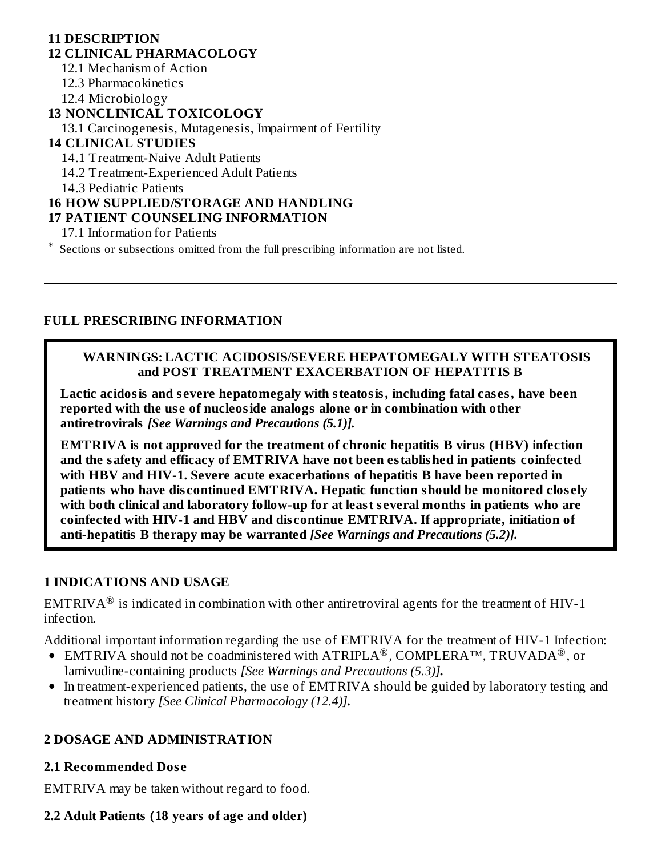# **11 DESCRIPTION**

### **12 CLINICAL PHARMACOLOGY**

12.1 Mechanism of Action

12.3 Pharmacokinetics

12.4 Microbiology

# **13 NONCLINICAL TOXICOLOGY**

13.1 Carcinogenesis, Mutagenesis, Impairment of Fertility

### **14 CLINICAL STUDIES**

- 14.1 Treatment-Naive Adult Patients
- 14.2 Treatment-Experienced Adult Patients
- 14.3 Pediatric Patients

### **16 HOW SUPPLIED/STORAGE AND HANDLING**

### **17 PATIENT COUNSELING INFORMATION**

17.1 Information for Patients

\* Sections or subsections omitted from the full prescribing information are not listed.

### **FULL PRESCRIBING INFORMATION**

### **WARNINGS: LACTIC ACIDOSIS/SEVERE HEPATOMEGALY WITH STEATOSIS and POST TREATMENT EXACERBATION OF HEPATITIS B**

**Lactic acidosis and s evere hepatomegaly with steatosis, including fatal cas es, have been reported with the us e of nucleoside analogs alone or in combination with other antiretrovirals** *[See Warnings and Precautions (5.1)].*

**EMTRIVA is not approved for the treatment of chronic hepatitis B virus (HBV) infection and the safety and efficacy of EMTRIVA have not been established in patients coinfected with HBV and HIV-1. Severe acute exacerbations of hepatitis B have been reported in patients who have dis continued EMTRIVA. Hepatic function should be monitored clos ely with both clinical and laboratory follow-up for at least s everal months in patients who are coinfected with HIV-1 and HBV and dis continue EMTRIVA. If appropriate, initiation of anti-hepatitis B therapy may be warranted** *[See Warnings and Precautions (5.2)].*

### **1 INDICATIONS AND USAGE**

EMTRIVA $^\circledR$  is indicated in combination with other antiretroviral agents for the treatment of HIV-1 infection.

Additional important information regarding the use of EMTRIVA for the treatment of HIV-1 Infection:

- $\mathop{\rm EMTRIVA}\nolimits$  should not be <code>coadministered</code> with <code>ATRIPLA®, COMPLERA™, TRUVADA®, or</code> lamivudine-containing products *[See Warnings and Precautions (5.3)].*
- In treatment-experienced patients, the use of EMTRIVA should be guided by laboratory testing and treatment history *[See Clinical Pharmacology (12.4)].*

# **2 DOSAGE AND ADMINISTRATION**

### **2.1 Recommended Dos e**

EMTRIVA may be taken without regard to food.

# **2.2 Adult Patients (18 years of age and older)**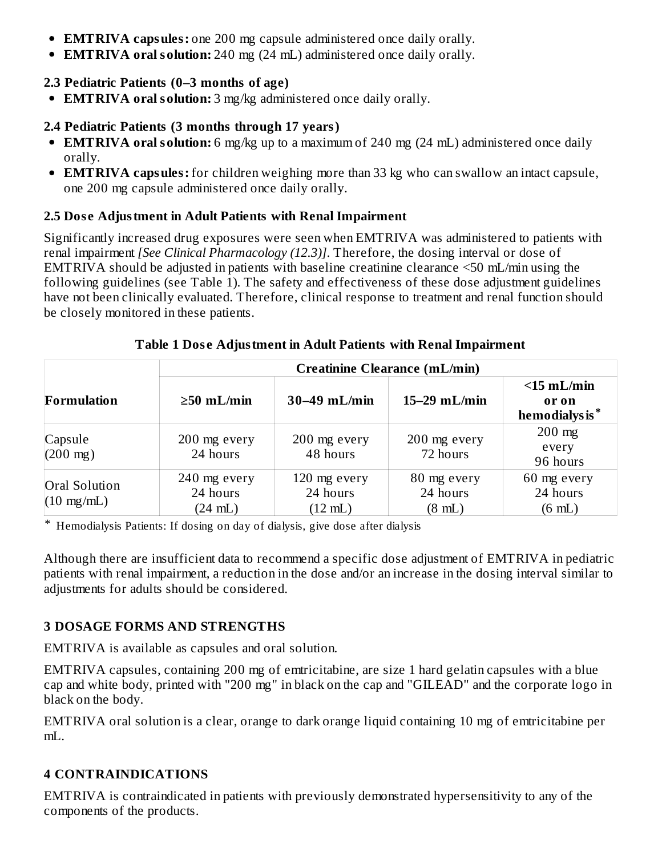- **EMTRIVA capsules:** one 200 mg capsule administered once daily orally.
- **EMTRIVA oral solution:** 240 mg (24 mL) administered once daily orally.

### **2.3 Pediatric Patients (0–3 months of age)**

**EMTRIVA oral solution:** 3 mg/kg administered once daily orally.

### **2.4 Pediatric Patients (3 months through 17 years)**

- **EMTRIVA oral solution:** 6 mg/kg up to a maximum of 240 mg (24 mL) administered once daily orally.
- **EMTRIVA capsules:** for children weighing more than 33 kg who can swallow an intact capsule, one 200 mg capsule administered once daily orally.

### **2.5 Dos e Adjustment in Adult Patients with Renal Impairment**

Significantly increased drug exposures were seen when EMTRIVA was administered to patients with renal impairment *[See Clinical Pharmacology (12.3)]*. Therefore, the dosing interval or dose of EMTRIVA should be adjusted in patients with baseline creatinine clearance <50 mL/min using the following guidelines (see Table 1). The safety and effectiveness of these dose adjustment guidelines have not been clinically evaluated. Therefore, clinical response to treatment and renal function should be closely monitored in these patients.

|                                       | <b>Creatinine Clearance (mL/min)</b>          |                                               |                                             |                                             |  |  |
|---------------------------------------|-----------------------------------------------|-----------------------------------------------|---------------------------------------------|---------------------------------------------|--|--|
| Formulation                           | $30-49$ mL/min<br>$\geq 50$ mL/min            |                                               | $15-29$ mL/min                              | $<$ 15 mL/min<br>or on<br>hemodialys is*    |  |  |
| Capsule<br>$(200 \text{ mg})$         | 200 mg every<br>24 hours                      | 200 mg every<br>48 hours                      | 200 mg every<br>72 hours                    | $200$ mg<br>every<br>96 hours               |  |  |
| Oral Solution<br>$(10 \text{ mg/mL})$ | 240 mg every<br>24 hours<br>$(24 \text{ mL})$ | 120 mg every<br>24 hours<br>$(12 \text{ mL})$ | 80 mg every<br>24 hours<br>$(8 \text{ mL})$ | 60 mg every<br>24 hours<br>$(6 \text{ mL})$ |  |  |

**Table 1 Dos e Adjustment in Adult Patients with Renal Impairment**

\* Hemodialysis Patients: If dosing on day of dialysis, give dose after dialysis

Although there are insufficient data to recommend a specific dose adjustment of EMTRIVA in pediatric patients with renal impairment, a reduction in the dose and/or an increase in the dosing interval similar to adjustments for adults should be considered.

# **3 DOSAGE FORMS AND STRENGTHS**

EMTRIVA is available as capsules and oral solution.

EMTRIVA capsules, containing 200 mg of emtricitabine, are size 1 hard gelatin capsules with a blue cap and white body, printed with "200 mg" in black on the cap and "GILEAD" and the corporate logo in black on the body.

EMTRIVA oral solution is a clear, orange to dark orange liquid containing 10 mg of emtricitabine per mL.

### **4 CONTRAINDICATIONS**

EMTRIVA is contraindicated in patients with previously demonstrated hypersensitivity to any of the components of the products.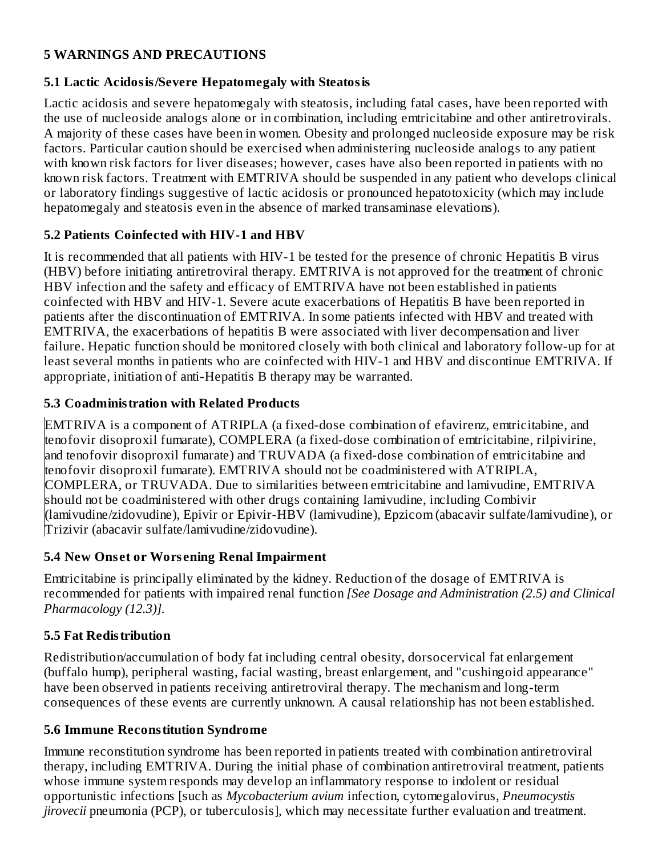### **5 WARNINGS AND PRECAUTIONS**

### **5.1 Lactic Acidosis/Severe Hepatomegaly with Steatosis**

Lactic acidosis and severe hepatomegaly with steatosis, including fatal cases, have been reported with the use of nucleoside analogs alone or in combination, including emtricitabine and other antiretrovirals. A majority of these cases have been in women. Obesity and prolonged nucleoside exposure may be risk factors. Particular caution should be exercised when administering nucleoside analogs to any patient with known risk factors for liver diseases; however, cases have also been reported in patients with no known risk factors. Treatment with EMTRIVA should be suspended in any patient who develops clinical or laboratory findings suggestive of lactic acidosis or pronounced hepatotoxicity (which may include hepatomegaly and steatosis even in the absence of marked transaminase elevations).

### **5.2 Patients Coinfected with HIV-1 and HBV**

It is recommended that all patients with HIV-1 be tested for the presence of chronic Hepatitis B virus (HBV) before initiating antiretroviral therapy. EMTRIVA is not approved for the treatment of chronic HBV infection and the safety and efficacy of EMTRIVA have not been established in patients coinfected with HBV and HIV-1. Severe acute exacerbations of Hepatitis B have been reported in patients after the discontinuation of EMTRIVA. In some patients infected with HBV and treated with EMTRIVA, the exacerbations of hepatitis B were associated with liver decompensation and liver failure. Hepatic function should be monitored closely with both clinical and laboratory follow-up for at least several months in patients who are coinfected with HIV-1 and HBV and discontinue EMTRIVA. If appropriate, initiation of anti-Hepatitis B therapy may be warranted.

### **5.3 Coadministration with Related Products**

EMTRIVA is a component of ATRIPLA (a fixed-dose combination of efavirenz, emtricitabine, and tenofovir disoproxil fumarate), COMPLERA (a fixed-dose combination of emtricitabine, rilpivirine, and tenofovir disoproxil fumarate) and TRUVADA (a fixed-dose combination of emtricitabine and tenofovir disoproxil fumarate). EMTRIVA should not be coadministered with ATRIPLA, COMPLERA, or TRUVADA. Due to similarities between emtricitabine and lamivudine, EMTRIVA should not be coadministered with other drugs containing lamivudine, including Combivir (lamivudine/zidovudine), Epivir or Epivir-HBV (lamivudine), Epzicom (abacavir sulfate/lamivudine), or Trizivir (abacavir sulfate/lamivudine/zidovudine).

# **5.4 New Ons et or Wors ening Renal Impairment**

Emtricitabine is principally eliminated by the kidney. Reduction of the dosage of EMTRIVA is recommended for patients with impaired renal function *[See Dosage and Administration (2.5) and Clinical Pharmacology (12.3)].*

# **5.5 Fat Redistribution**

Redistribution/accumulation of body fat including central obesity, dorsocervical fat enlargement (buffalo hump), peripheral wasting, facial wasting, breast enlargement, and "cushingoid appearance" have been observed in patients receiving antiretroviral therapy. The mechanism and long-term consequences of these events are currently unknown. A causal relationship has not been established.

# **5.6 Immune Reconstitution Syndrome**

Immune reconstitution syndrome has been reported in patients treated with combination antiretroviral therapy, including EMTRIVA. During the initial phase of combination antiretroviral treatment, patients whose immune system responds may develop an inflammatory response to indolent or residual opportunistic infections [such as *Mycobacterium avium* infection, cytomegalovirus, *Pneumocystis jirovecii* pneumonia (PCP), or tuberculosis], which may necessitate further evaluation and treatment.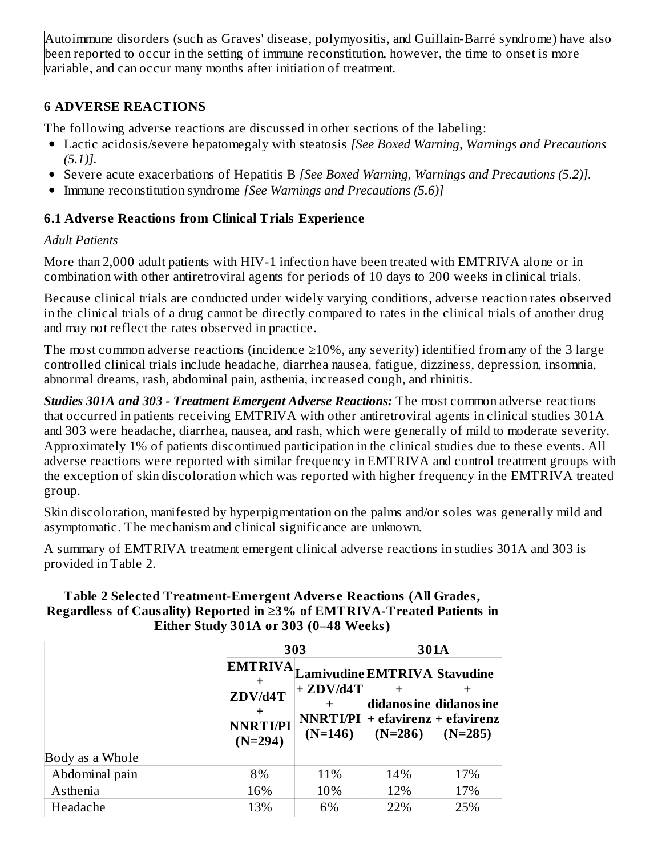Autoimmune disorders (such as Graves' disease, polymyositis, and Guillain-Barré syndrome) have also been reported to occur in the setting of immune reconstitution, however, the time to onset is more variable, and can occur many months after initiation of treatment.

# **6 ADVERSE REACTIONS**

The following adverse reactions are discussed in other sections of the labeling:

- Lactic acidosis/severe hepatomegaly with steatosis *[See Boxed Warning, Warnings and Precautions (5.1)].*
- Severe acute exacerbations of Hepatitis B *[See Boxed Warning, Warnings and Precautions (5.2)].*
- Immune reconstitution syndrome *[See Warnings and Precautions (5.6)]*

# **6.1 Advers e Reactions from Clinical Trials Experience**

# *Adult Patients*

More than 2,000 adult patients with HIV-1 infection have been treated with EMTRIVA alone or in combination with other antiretroviral agents for periods of 10 days to 200 weeks in clinical trials.

Because clinical trials are conducted under widely varying conditions, adverse reaction rates observed in the clinical trials of a drug cannot be directly compared to rates in the clinical trials of another drug and may not reflect the rates observed in practice.

The most common adverse reactions (incidence  $\geq 10\%$ , any severity) identified from any of the 3 large controlled clinical trials include headache, diarrhea nausea, fatigue, dizziness, depression, insomnia, abnormal dreams, rash, abdominal pain, asthenia, increased cough, and rhinitis.

*Studies 301A and 303 - Treatment Emergent Adverse Reactions:* The most common adverse reactions that occurred in patients receiving EMTRIVA with other antiretroviral agents in clinical studies 301A and 303 were headache, diarrhea, nausea, and rash, which were generally of mild to moderate severity. Approximately 1% of patients discontinued participation in the clinical studies due to these events. All adverse reactions were reported with similar frequency in EMTRIVA and control treatment groups with the exception of skin discoloration which was reported with higher frequency in the EMTRIVA treated group.

Skin discoloration, manifested by hyperpigmentation on the palms and/or soles was generally mild and asymptomatic. The mechanism and clinical significance are unknown.

A summary of EMTRIVA treatment emergent clinical adverse reactions in studies 301A and 303 is provided in Table 2.

|                 | 303<br><b>EMTRIVA</b><br>Lamivudine EMTRIVA Stavudine<br>┿<br>$+ ZDV/d4T$<br>ZDV/d4T<br>┿<br>$NNRTLPI$ + efavirenz + efavirenz<br><b>NNRTI/PI</b><br>$(N=146)$<br>$(N=294)$ |     | 301A<br>didanos ine didanos ine<br>$(N=286)$ | $(N=285)$ |
|-----------------|-----------------------------------------------------------------------------------------------------------------------------------------------------------------------------|-----|----------------------------------------------|-----------|
| Body as a Whole |                                                                                                                                                                             |     |                                              |           |
| Abdominal pain  | 8%                                                                                                                                                                          | 11% | 14%                                          | 17%       |
| Asthenia        | 16%                                                                                                                                                                         | 10% | 12%                                          | 17%       |
| Headache        | 13%                                                                                                                                                                         | 6%  | 22%                                          | 25%       |

### **Table 2 Selected Treatment-Emergent Advers e Reactions (All Grades, Regardless of Causality) Reported in ≥3% of EMTRIVA-Treated Patients in Either Study 301A or 303 (0–48 Weeks)**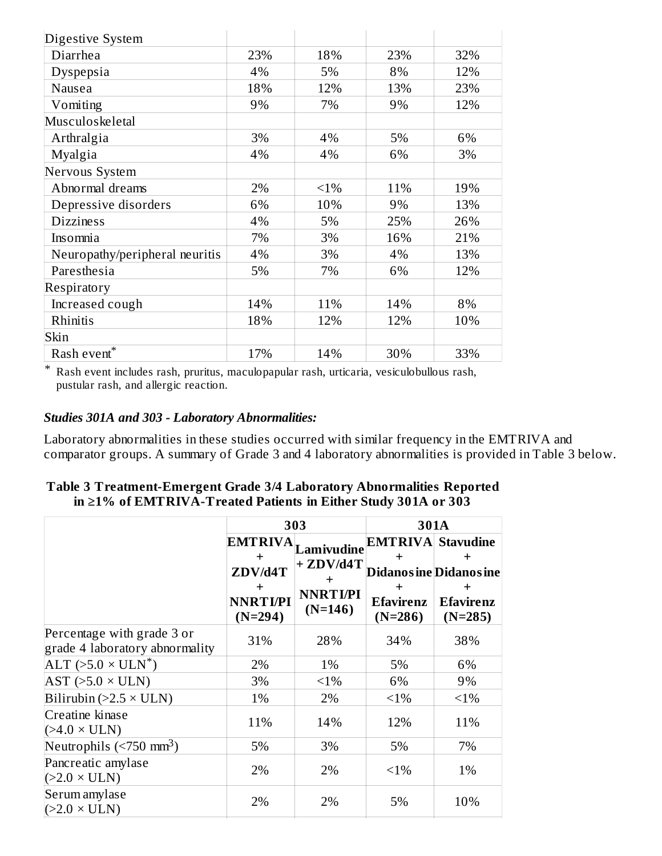| Digestive System               |     |        |     |     |
|--------------------------------|-----|--------|-----|-----|
| Diarrhea                       | 23% | 18%    | 23% | 32% |
| Dyspepsia                      | 4%  | 5%     | 8%  | 12% |
| Nausea                         | 18% | 12%    | 13% | 23% |
| Vomiting                       | 9%  | 7%     | 9%  | 12% |
| Musculoskeletal                |     |        |     |     |
| Arthralgia                     | 3%  | 4%     | 5%  | 6%  |
| Myalgia                        | 4%  | 4%     | 6%  | 3%  |
| Nervous System                 |     |        |     |     |
| Abnormal dreams                | 2%  | $<1\%$ | 11% | 19% |
| Depressive disorders           | 6%  | 10%    | 9%  | 13% |
| <b>Dizziness</b>               | 4%  | 5%     | 25% | 26% |
| Insomnia                       | 7%  | 3%     | 16% | 21% |
| Neuropathy/peripheral neuritis | 4%  | 3%     | 4%  | 13% |
| Paresthesia                    | 5%  | 7%     | 6%  | 12% |
| Respiratory                    |     |        |     |     |
| Increased cough                | 14% | 11%    | 14% | 8%  |
| Rhinitis                       | 18% | 12%    | 12% | 10% |
| Skin                           |     |        |     |     |
| Rash event*                    | 17% | 14%    | 30% | 33% |

\* Rash event includes rash, pruritus, maculopapular rash, urticaria, vesiculobullous rash, pustular rash, and allergic reaction.

### *Studies 301A and 303 - Laboratory Abnormalities:*

Laboratory abnormalities in these studies occurred with similar frequency in the EMTRIVA and comparator groups. A summary of Grade 3 and 4 laboratory abnormalities is provided in Table 3 below.

### **Table 3 Treatment-Emergent Grade 3/4 Laboratory Abnormalities Reported in ≥1% of EMTRIVA-Treated Patients in Either Study 301A or 303**

|                                                              |                                                                                                                                          | 303    | 301A                                                                                 |                                                           |  |
|--------------------------------------------------------------|------------------------------------------------------------------------------------------------------------------------------------------|--------|--------------------------------------------------------------------------------------|-----------------------------------------------------------|--|
|                                                              | <b>EMTRIVA</b><br>Lamivudine<br>$\pm$<br>$+ ZDV/d4T$<br>ZDV/d4T<br>$\pm$<br><b>NNRTI/PI</b><br><b>NNRTI/PI</b><br>$(N=146)$<br>$(N=294)$ |        | <b>EMTRIVA</b><br><b>Didanosine Didanosine</b><br>┿<br><b>Efavirenz</b><br>$(N=286)$ | <b>Stavudine</b><br>$\div$<br>+<br>Efavirenz<br>$(N=285)$ |  |
| Percentage with grade 3 or<br>grade 4 laboratory abnormality | 31%                                                                                                                                      | 28%    | 34%                                                                                  | 38%                                                       |  |
| $ALT$ (>5.0 $\times$ ULN <sup>*</sup> )                      | 2%                                                                                                                                       | 1%     | 5%                                                                                   | 6%                                                        |  |
| $AST$ (>5.0 $\times$ ULN)                                    | 3%                                                                                                                                       | $<1\%$ | 6%                                                                                   | 9%                                                        |  |
| Bilirubin ( $>2.5 \times ULN$ )                              | 1%                                                                                                                                       | 2%     | $<1\%$                                                                               | $<1\%$                                                    |  |
| Creatine kinase<br>$(>4.0 \times ULN)$                       | 11%                                                                                                                                      | 14%    | 12%                                                                                  | 11%                                                       |  |
| Neutrophils $(\leq 750$ mm <sup>3</sup> )                    | 5%                                                                                                                                       | 3%     | 5%                                                                                   | 7%                                                        |  |
| Pancreatic amylase<br>$(>2.0 \times ULN)$                    | 2%                                                                                                                                       | 2%     | $<1\%$                                                                               | 1%                                                        |  |
| Serum amylase<br>$(>2.0 \times ULN)$                         | 2%                                                                                                                                       | 2%     | 5%                                                                                   | 10%                                                       |  |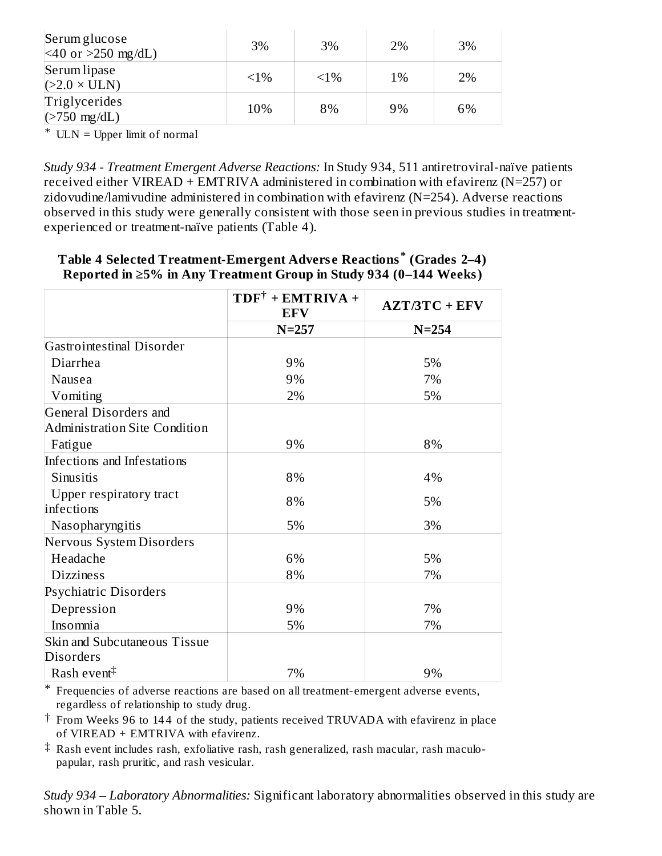| Serum glucose<br>$ $ <40 or >250 mg/dL) | 3%      | 3%      | 2% | 3% |
|-----------------------------------------|---------|---------|----|----|
| Serum lipase<br>$(>2.0 \times ULN)$     | $< 1\%$ | $< 1\%$ | 1% | 2% |
| Triglycerides<br>$($ >750 mg/dL)        | 10%     | 8%      | 9% | 6% |

\* ULN = Upper limit of normal

*Study 934 - Treatment Emergent Adverse Reactions:* In Study 934, 511 antiretroviral-naïve patients received either VIREAD + EMTRIVA administered in combination with efavirenz (N=257) or zidovudine/lamivudine administered in combination with efavirenz (N=254). Adverse reactions observed in this study were generally consistent with those seen in previous studies in treatmentexperienced or treatment-naïve patients (Table 4).

### **Table 4 Selected Treatment-Emergent Advers e Reactions (Grades 2–4) \* Reported in ≥5% in Any Treatment Group in Study 934 (0–144 Weeks)**

|                                                         | $TDF^{\dagger}$ + EMTRIVA +<br><b>EFV</b> | $AZT/3TC + EFV$ |
|---------------------------------------------------------|-------------------------------------------|-----------------|
|                                                         | $N=257$                                   | $N = 254$       |
| Gastrointestinal Disorder                               |                                           |                 |
| Diarrhea                                                | 9%                                        | 5%              |
| Nausea                                                  | 9%                                        | 7%              |
| Vomiting                                                | 2%                                        | 5%              |
| General Disorders and                                   |                                           |                 |
| <b>Administration Site Condition</b>                    |                                           |                 |
| Fatigue                                                 | 9%                                        | 8%              |
| Infections and Infestations                             |                                           |                 |
| Sinusitis                                               | 8%                                        | 4%              |
| Upper respiratory tract<br>infections                   | 8%                                        | 5%              |
| Nasopharyngitis                                         | 5%                                        | 3%              |
| Nervous System Disorders                                |                                           |                 |
| Headache                                                | 6%                                        | 5%              |
| <b>Dizziness</b>                                        | 8%                                        | 7%              |
| Psychiatric Disorders                                   |                                           |                 |
| Depression                                              | 9%                                        | 7%              |
| Insomnia                                                | 5%                                        | 7%              |
| <b>Skin and Subcutaneous Tissue</b><br><b>Disorders</b> |                                           |                 |
| Rash event <sup>‡</sup>                                 | 7%                                        | 9%              |

\* Frequencies of adverse reactions are based on all treatment-emergent adverse events, regardless of relationship to study drug.

 $^\dagger$  From Weeks 96 to 144 of the study, patients received TRUVADA with efavirenz in place of VIREAD + EMTRIVA with efavirenz.

‡ Rash event includes rash, exfoliative rash, rash generalized, rash macular, rash maculopapular, rash pruritic, and rash vesicular.

*Study 934 – Laboratory Abnormalities:* Significant laboratory abnormalities observed in this study are shown in Table 5.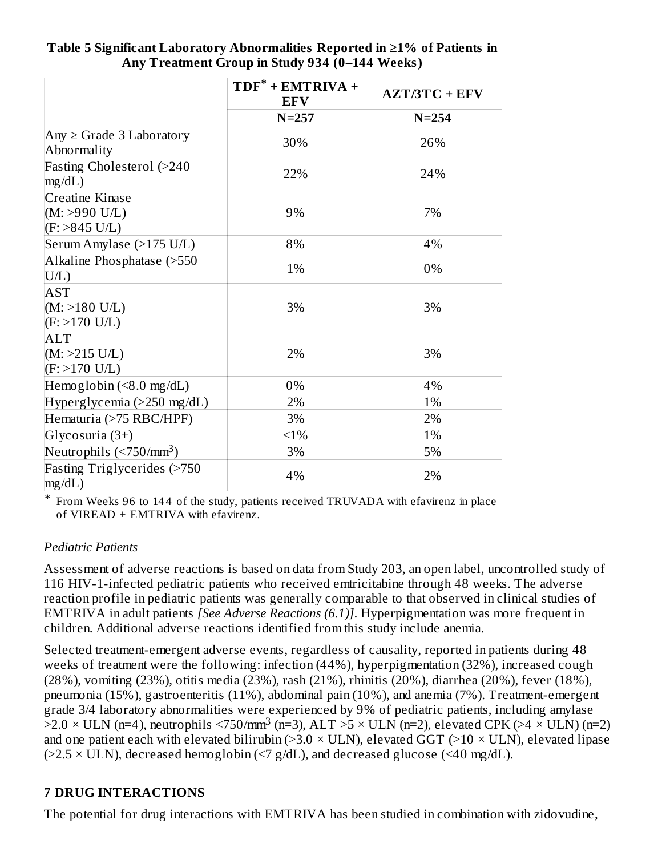|                                                     | $TDF^*$ + EMTRIVA +<br><b>EFV</b> | $AZT/3TC + EFV$ |
|-----------------------------------------------------|-----------------------------------|-----------------|
|                                                     | $N = 257$                         | $N = 254$       |
| Any $\geq$ Grade 3 Laboratory<br>Abnormality        | 30%                               | 26%             |
| Fasting Cholesterol (>240<br>mg/dL)                 | 22%                               | 24%             |
| Creatine Kinase<br>(M: >990 U/L)<br>$(F: >845$ U/L) | 9%                                | 7%              |
| Serum Amylase (>175 U/L)                            | 8%                                | 4%              |
| Alkaline Phosphatase (>550<br>U/L)                  | 1%                                | $0\%$           |
| <b>AST</b><br>$(M: > 180$ U/L)<br>(F: >170 U/L)     | 3%                                | 3%              |
| <b>ALT</b><br>(M: > 215 U/L)<br>$(F: >170$ U/L)     | 2%                                | 3%              |
| Hemoglobin $(\leq8.0 \text{ mg/dL})$                | 0%                                | 4%              |
| Hyperglycemia (>250 mg/dL)                          | 2%                                | 1%              |
| Hematuria (>75 RBC/HPF)                             | 3%                                | 2%              |
| Glycosuria $(3+)$                                   | $<1\%$                            | 1%              |
| Neutrophils $(750/mm3)$                             | 3%                                | 5%              |
| Fasting Triglycerides (>750<br>mg/dL)               | 4%                                | 2%              |

**Table 5 Significant Laboratory Abnormalities Reported in ≥1% of Patients in Any Treatment Group in Study 934 (0–144 Weeks)**

\* From Weeks 96 to 14 4 of the study, patients received TRUVADA with efavirenz in place of VIREAD + EMTRIVA with efavirenz.

### *Pediatric Patients*

Assessment of adverse reactions is based on data from Study 203, an open label, uncontrolled study of 116 HIV-1-infected pediatric patients who received emtricitabine through 48 weeks. The adverse reaction profile in pediatric patients was generally comparable to that observed in clinical studies of EMTRIVA in adult patients *[See Adverse Reactions (6.1)]*. Hyperpigmentation was more frequent in children. Additional adverse reactions identified from this study include anemia.

Selected treatment-emergent adverse events, regardless of causality, reported in patients during 48 weeks of treatment were the following: infection (44%), hyperpigmentation (32%), increased cough (28%), vomiting (23%), otitis media (23%), rash (21%), rhinitis (20%), diarrhea (20%), fever (18%), pneumonia (15%), gastroenteritis (11%), abdominal pain (10%), and anemia (7%). Treatment-emergent grade 3/4 laboratory abnormalities were experienced by 9% of pediatric patients, including amylase  $>$  2.0 × ULN (n=4), neutrophils <750/mm<sup>3</sup> (n=3), ALT > 5 × ULN (n=2), elevated CPK (>4 × ULN) (n=2) and one patient each with elevated bilirubin ( $>3.0 \times$  ULN), elevated GGT ( $>10 \times$  ULN), elevated lipase ( $>2.5 \times$  ULN), decreased hemoglobin ( $<$ 7 g/dL), and decreased glucose ( $<$ 40 mg/dL).

# **7 DRUG INTERACTIONS**

The potential for drug interactions with EMTRIVA has been studied in combination with zidovudine,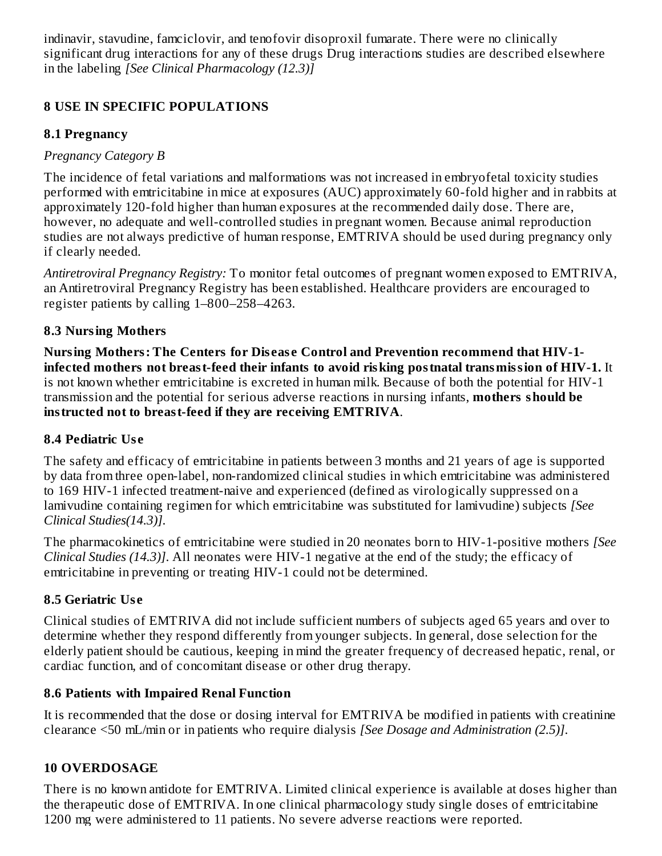indinavir, stavudine, famciclovir, and tenofovir disoproxil fumarate. There were no clinically significant drug interactions for any of these drugs Drug interactions studies are described elsewhere in the labeling *[See Clinical Pharmacology (12.3)]*

# **8 USE IN SPECIFIC POPULATIONS**

# **8.1 Pregnancy**

# *Pregnancy Category B*

The incidence of fetal variations and malformations was not increased in embryofetal toxicity studies performed with emtricitabine in mice at exposures (AUC) approximately 60-fold higher and in rabbits at approximately 120-fold higher than human exposures at the recommended daily dose. There are, however, no adequate and well-controlled studies in pregnant women. Because animal reproduction studies are not always predictive of human response, EMTRIVA should be used during pregnancy only if clearly needed.

*Antiretroviral Pregnancy Registry:* To monitor fetal outcomes of pregnant women exposed to EMTRIVA, an Antiretroviral Pregnancy Registry has been established. Healthcare providers are encouraged to register patients by calling 1–800–258–4263.

# **8.3 Nursing Mothers**

**Nursing Mothers: The Centers for Dis eas e Control and Prevention recommend that HIV-1 infected mothers not breast-feed their infants to avoid risking postnatal transmission of HIV-1.** It is not known whether emtricitabine is excreted in human milk. Because of both the potential for HIV-1 transmission and the potential for serious adverse reactions in nursing infants, **mothers should be instructed not to breast-feed if they are receiving EMTRIVA**.

# **8.4 Pediatric Us e**

The safety and efficacy of emtricitabine in patients between 3 months and 21 years of age is supported by data from three open-label, non-randomized clinical studies in which emtricitabine was administered to 169 HIV-1 infected treatment-naive and experienced (defined as virologically suppressed on a lamivudine containing regimen for which emtricitabine was substituted for lamivudine) subjects *[See Clinical Studies(14.3)]*.

The pharmacokinetics of emtricitabine were studied in 20 neonates born to HIV-1-positive mothers *[See Clinical Studies (14.3)]*. All neonates were HIV-1 negative at the end of the study; the efficacy of emtricitabine in preventing or treating HIV-1 could not be determined.

# **8.5 Geriatric Us e**

Clinical studies of EMTRIVA did not include sufficient numbers of subjects aged 65 years and over to determine whether they respond differently from younger subjects. In general, dose selection for the elderly patient should be cautious, keeping in mind the greater frequency of decreased hepatic, renal, or cardiac function, and of concomitant disease or other drug therapy*.*

# **8.6 Patients with Impaired Renal Function**

It is recommended that the dose or dosing interval for EMTRIVA be modified in patients with creatinine clearance <50 mL/min or in patients who require dialysis *[See Dosage and Administration (2.5)]*.

# **10 OVERDOSAGE**

There is no known antidote for EMTRIVA. Limited clinical experience is available at doses higher than the therapeutic dose of EMTRIVA. In one clinical pharmacology study single doses of emtricitabine 1200 mg were administered to 11 patients. No severe adverse reactions were reported.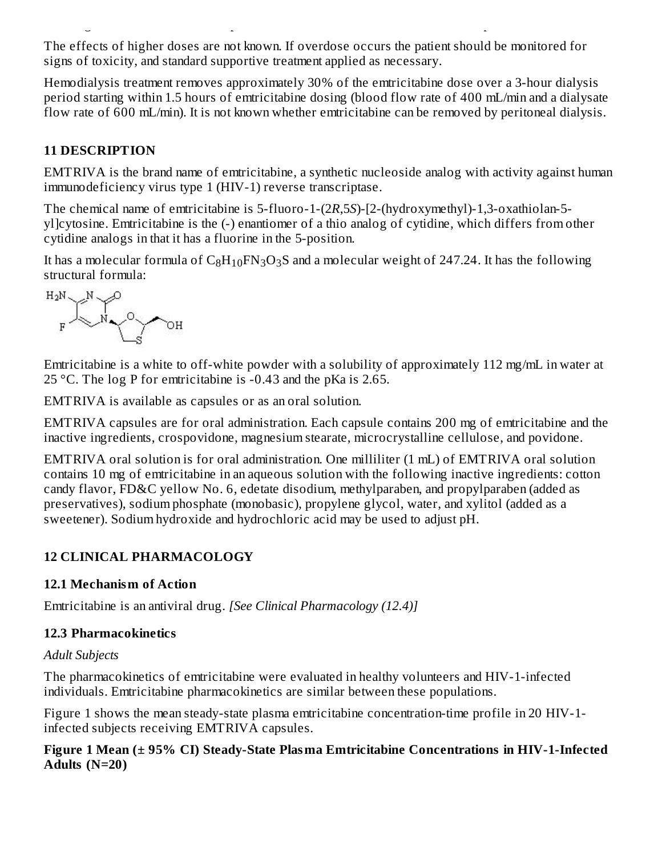The effects of higher doses are not known. If overdose occurs the patient should be monitored for signs of toxicity, and standard supportive treatment applied as necessary.

1200 mg were administered to 11 patients. No severe adverse reactions were reported.

Hemodialysis treatment removes approximately 30% of the emtricitabine dose over a 3-hour dialysis period starting within 1.5 hours of emtricitabine dosing (blood flow rate of 400 mL/min and a dialysate flow rate of 600 mL/min). It is not known whether emtricitabine can be removed by peritoneal dialysis.

# **11 DESCRIPTION**

EMTRIVA is the brand name of emtricitabine, a synthetic nucleoside analog with activity against human immunodeficiency virus type 1 (HIV-1) reverse transcriptase.

The chemical name of emtricitabine is 5-fluoro-1-(2*R*,5*S*)-[2-(hydroxymethyl)-1,3-oxathiolan-5 yl]cytosine. Emtricitabine is the (-) enantiomer of a thio analog of cytidine, which differs from other cytidine analogs in that it has a fluorine in the 5-position.

It has a molecular formula of  $\rm{C_8H_{10}FN_3O_3S}$  and a molecular weight of 247.24. It has the following structural formula:



Emtricitabine is a white to off-white powder with a solubility of approximately 112 mg/mL in water at 25 °C. The log P for emtricitabine is  $-0.43$  and the pKa is 2.65.

EMTRIVA is available as capsules or as an oral solution.

EMTRIVA capsules are for oral administration. Each capsule contains 200 mg of emtricitabine and the inactive ingredients, crospovidone, magnesium stearate, microcrystalline cellulose, and povidone.

EMTRIVA oral solution is for oral administration. One milliliter (1 mL) of EMTRIVA oral solution contains 10 mg of emtricitabine in an aqueous solution with the following inactive ingredients: cotton candy flavor, FD&C yellow No. 6, edetate disodium, methylparaben, and propylparaben (added as preservatives), sodium phosphate (monobasic), propylene glycol, water, and xylitol (added as a sweetener). Sodium hydroxide and hydrochloric acid may be used to adjust pH.

# **12 CLINICAL PHARMACOLOGY**

### **12.1 Mechanism of Action**

Emtricitabine is an antiviral drug. *[See Clinical Pharmacology (12.4)]*

### **12.3 Pharmacokinetics**

### *Adult Subjects*

The pharmacokinetics of emtricitabine were evaluated in healthy volunteers and HIV-1-infected individuals. Emtricitabine pharmacokinetics are similar between these populations.

Figure 1 shows the mean steady-state plasma emtricitabine concentration-time profile in 20 HIV-1 infected subjects receiving EMTRIVA capsules.

### **Figure 1 Mean (± 95% CI) Steady-State Plasma Emtricitabine Concentrations in HIV-1-Infected Adults (N=20)**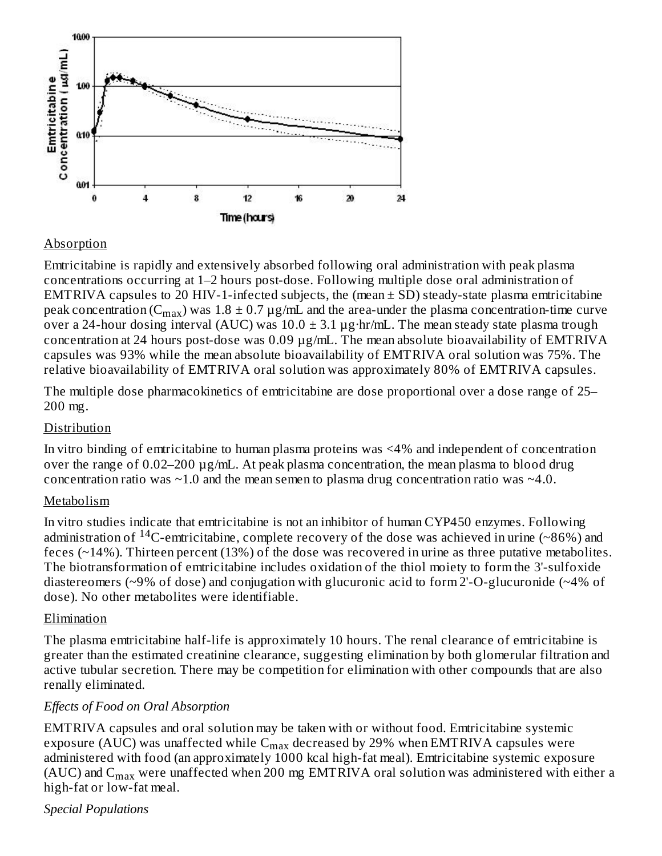

### **Absorption**

Emtricitabine is rapidly and extensively absorbed following oral administration with peak plasma concentrations occurring at 1–2 hours post-dose. Following multiple dose oral administration of EMTRIVA capsules to 20 HIV-1-infected subjects, the (mean  $\pm$  SD) steady-state plasma emtricitabine peak concentration (C<sub>max</sub>) was 1.8  $\pm$  0.7  $\mu$ g/mL and the area-under the plasma concentration-time curve over a 24-hour dosing interval (AUC) was  $10.0 \pm 3.1$   $\mu$ g·hr/mL. The mean steady state plasma trough concentration at 24 hours post-dose was 0.09 µg/mL. The mean absolute bioavailability of EMTRIVA capsules was 93% while the mean absolute bioavailability of EMTRIVA oral solution was 75%. The relative bioavailability of EMTRIVA oral solution was approximately 80% of EMTRIVA capsules.

The multiple dose pharmacokinetics of emtricitabine are dose proportional over a dose range of 25– 200 mg.

### Distribution

In vitro binding of emtricitabine to human plasma proteins was <4% and independent of concentration over the range of 0.02–200 µg/mL. At peak plasma concentration, the mean plasma to blood drug concentration ratio was  $\sim$ 1.0 and the mean semen to plasma drug concentration ratio was  $\sim$ 4.0.

### Metabolism

In vitro studies indicate that emtricitabine is not an inhibitor of human CYP450 enzymes. Following administration of <sup>14</sup>C-emtricitabine, complete recovery of the dose was achieved in urine (~86%) and feces ( $\sim$ 14%). Thirteen percent (13%) of the dose was recovered in urine as three putative metabolites. The biotransformation of emtricitabine includes oxidation of the thiol moiety to form the 3'-sulfoxide diastereomers (~9% of dose) and conjugation with glucuronic acid to form 2'-O-glucuronide (~4% of dose). No other metabolites were identifiable.

#### Elimination

The plasma emtricitabine half-life is approximately 10 hours. The renal clearance of emtricitabine is greater than the estimated creatinine clearance, suggesting elimination by both glomerular filtration and active tubular secretion. There may be competition for elimination with other compounds that are also renally eliminated.

### *Effects of Food on Oral Absorption*

EMTRIVA capsules and oral solution may be taken with or without food. Emtricitabine systemic exposure (AUC) was unaffected while  $\mathsf{C}_{\max}$  decreased by 29% when EMTRIVA capsules were administered with food (an approximately 1000 kcal high-fat meal). Emtricitabine systemic exposure (AUC) and  $\mathsf{C}_{\max}$  were unaffected when 200 mg EMTRIVA oral solution was administered with either a high-fat or low-fat meal.

*Special Populations*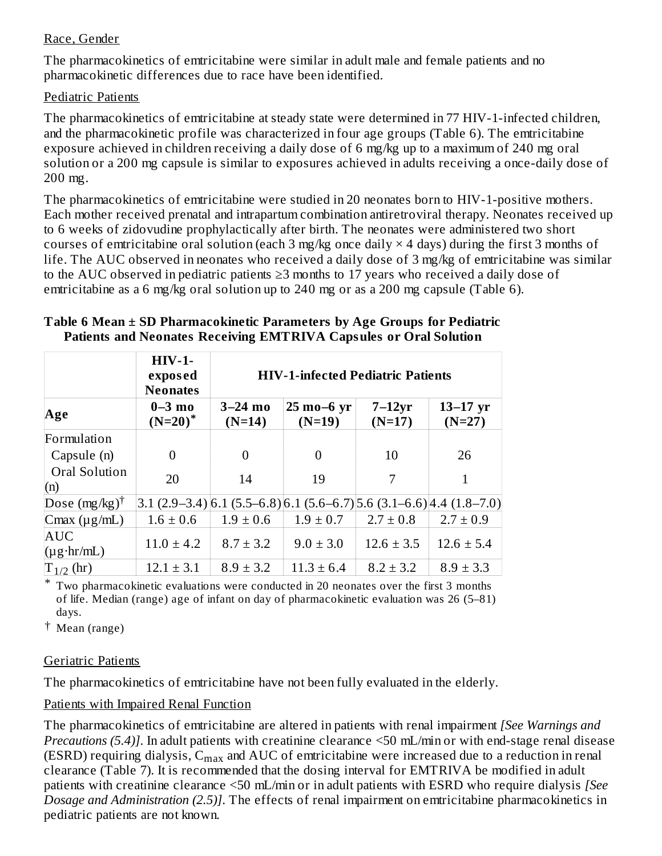### Race, Gender

The pharmacokinetics of emtricitabine were similar in adult male and female patients and no pharmacokinetic differences due to race have been identified.

### Pediatric Patients

The pharmacokinetics of emtricitabine at steady state were determined in 77 HIV-1-infected children, and the pharmacokinetic profile was characterized in four age groups (Table 6). The emtricitabine exposure achieved in children receiving a daily dose of 6 mg/kg up to a maximum of 240 mg oral solution or a 200 mg capsule is similar to exposures achieved in adults receiving a once-daily dose of 200 mg.

The pharmacokinetics of emtricitabine were studied in 20 neonates born to HIV-1-positive mothers. Each mother received prenatal and intrapartum combination antiretroviral therapy. Neonates received up to 6 weeks of zidovudine prophylactically after birth. The neonates were administered two short courses of emtricitabine oral solution (each 3 mg/kg once daily  $\times$  4 days) during the first 3 months of life. The AUC observed in neonates who received a daily dose of 3 mg/kg of emtricitabine was similar to the AUC observed in pediatric patients ≥3 months to 17 years who received a daily dose of emtricitabine as a 6 mg/kg oral solution up to 240 mg or as a 200 mg capsule (Table 6).

|                                            | $HIV-1-$<br>exposed<br><b>Neonates</b> | <b>HIV-1-infected Pediatric Patients</b> |                                          |                       |                                                                    |
|--------------------------------------------|----------------------------------------|------------------------------------------|------------------------------------------|-----------------------|--------------------------------------------------------------------|
| Age                                        | $0-3$ mo<br>$(N=20)^*$                 | $3-24$ mo<br>$(N=14)$                    | $25 \text{ mo}-6 \text{ yr}$<br>$(N=19)$ | $7-12$ yr<br>$(N=17)$ | $13-17$ yr<br>$(N=27)$                                             |
| Formulation                                |                                        |                                          |                                          |                       |                                                                    |
| Capsule (n)                                | $\theta$                               | $\overline{0}$                           | $\overline{0}$                           | 10                    | 26                                                                 |
| Oral Solution<br>(n)                       | 20                                     | 14                                       | 19                                       | 7                     | 1                                                                  |
| Dose $(mg/kg)^{\dagger}$                   |                                        |                                          |                                          |                       | $3.1(2.9-3.4)[6.1(5.5-6.8)]6.1(5.6-6.7)[5.6(3.1-6.6)]4.4(1.8-7.0)$ |
| $C$ max ( $\mu$ g/mL)                      | $1.6 \pm 0.6$                          | $1.9 \pm 0.6$                            | $1.9 \pm 0.7$                            | $2.7 \pm 0.8$         | $2.7 \pm 0.9$                                                      |
| <b>AUC</b><br>$(\mu g \cdot \text{hr/mL})$ | $11.0 \pm 4.2$                         | $8.7 \pm 3.2$                            | $9.0 \pm 3.0$                            | $12.6 \pm 3.5$        | $12.6 \pm 5.4$                                                     |
| $T_{1/2}$ (hr)                             | $12.1 \pm 3.1$                         | $8.9 \pm 3.2$                            | $11.3 \pm 6.4$                           | $8.2 \pm 3.2$         | $8.9 \pm 3.3$                                                      |

#### **Table 6 Mean ± SD Pharmacokinetic Parameters by Age Groups for Pediatric Patients and Neonates Receiving EMTRIVA Capsules or Oral Solution**

\* Two pharmacokinetic evaluations were conducted in 20 neonates over the first 3 months of life. Median (range) age of infant on day of pharmacokinetic evaluation was 26 (5–81) days.

† Mean (range)

### Geriatric Patients

The pharmacokinetics of emtricitabine have not been fully evaluated in the elderly.

# Patients with Impaired Renal Function

The pharmacokinetics of emtricitabine are altered in patients with renal impairment *[See Warnings and Precautions (5.4)]*. In adult patients with creatinine clearance <50 mL/min or with end-stage renal disease (ESRD) requiring dialysis,  $\rm{C_{max}}$  and AUC of emtricitabine were increased due to a reduction in renal clearance (Table 7). It is recommended that the dosing interval for EMTRIVA be modified in adult patients with creatinine clearance <50 mL/min or in adult patients with ESRD who require dialysis *[See Dosage and Administration (2.5)]*. The effects of renal impairment on emtricitabine pharmacokinetics in pediatric patients are not known.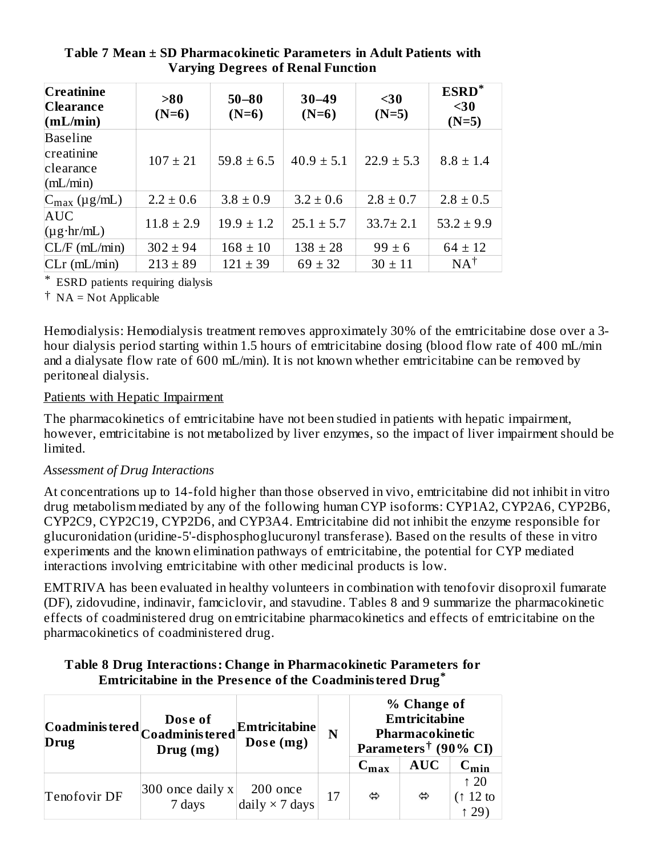| <b>Creatinine</b><br>Clearance<br>(mL/min)             | >80<br>$(N=6)$ | $50 - 80$<br>$(N=6)$ | $30 - 49$<br>$(N=6)$ | $30$<br>$(N=5)$ | ESRD <sup>*</sup><br>$30$<br>$(N=5)$ |
|--------------------------------------------------------|----------------|----------------------|----------------------|-----------------|--------------------------------------|
| <b>Baseline</b><br>creatinine<br>clearance<br>(mL/min) | $107 \pm 21$   | $59.8 \pm 6.5$       | $40.9 \pm 5.1$       | $22.9 \pm 5.3$  | $8.8 \pm 1.4$                        |
| $C_{\text{max}}$ (µg/mL)                               | $2.2 \pm 0.6$  | $3.8 \pm 0.9$        | $3.2 \pm 0.6$        | $2.8 \pm 0.7$   | $2.8 \pm 0.5$                        |
| AUC<br>$(\mu g \cdot \text{hr/mL})$                    | $11.8 \pm 2.9$ | $19.9 \pm 1.2$       | $25.1 \pm 5.7$       | $33.7 \pm 2.1$  | $53.2 \pm 9.9$                       |
| $CL/F$ (mL/min)                                        | $302 \pm 94$   | $168 \pm 10$         | $138 \pm 28$         | $99 \pm 6$      | $64 \pm 12$                          |
| $CLr$ (mL/min)                                         | $213 \pm 89$   | $121 \pm 39$         | $69 \pm 32$          | $30 \pm 11$     | $NA^{\dagger}$                       |

**Table 7 Mean ± SD Pharmacokinetic Parameters in Adult Patients with Varying Degrees of Renal Function**

\* ESRD patients requiring dialysis

† NA = Not Applicable

Hemodialysis: Hemodialysis treatment removes approximately 30% of the emtricitabine dose over a 3 hour dialysis period starting within 1.5 hours of emtricitabine dosing (blood flow rate of 400 mL/min and a dialysate flow rate of 600 mL/min). It is not known whether emtricitabine can be removed by peritoneal dialysis.

### Patients with Hepatic Impairment

The pharmacokinetics of emtricitabine have not been studied in patients with hepatic impairment, however, emtricitabine is not metabolized by liver enzymes, so the impact of liver impairment should be limited.

### *Assessment of Drug Interactions*

At concentrations up to 14-fold higher than those observed in vivo, emtricitabine did not inhibit in vitro drug metabolism mediated by any of the following human CYP isoforms: CYP1A2, CYP2A6, CYP2B6, CYP2C9, CYP2C19, CYP2D6, and CYP3A4. Emtricitabine did not inhibit the enzyme responsible for glucuronidation (uridine-5'-disphosphoglucuronyl transferase). Based on the results of these in vitro experiments and the known elimination pathways of emtricitabine, the potential for CYP mediated interactions involving emtricitabine with other medicinal products is low.

EMTRIVA has been evaluated in healthy volunteers in combination with tenofovir disoproxil fumarate (DF), zidovudine, indinavir, famciclovir, and stavudine. Tables 8 and 9 summarize the pharmacokinetic effects of coadministered drug on emtricitabine pharmacokinetics and effects of emtricitabine on the pharmacokinetics of coadministered drug.

| $\begin{bmatrix} \text{Coadministered} \\ \text{Coadministered} \end{bmatrix}$<br>Drug | Dose of<br>Drug (mg)         | Dose (mg)                         | N  | % Change of<br><b>Emtricitabine</b><br>Pharmacokinetic<br>Parameters <sup>†</sup> (90% CI) |            |                                             |
|----------------------------------------------------------------------------------------|------------------------------|-----------------------------------|----|--------------------------------------------------------------------------------------------|------------|---------------------------------------------|
|                                                                                        |                              |                                   |    | $C_{\max}$                                                                                 | <b>AUC</b> | $\mathbf{C_{min}}$                          |
| Tenofovir DF                                                                           | 300 once daily $x$<br>7 days | 200 once<br>daily $\times$ 7 days | 17 | ⇔                                                                                          | ⇔          | $\uparrow$ 20<br>$\uparrow$ 12 to<br>$*291$ |

#### **Table 8 Drug Interactions: Change in Pharmacokinetic Parameters for Emtricitabine in the Pres ence of the Coadministered Drug \***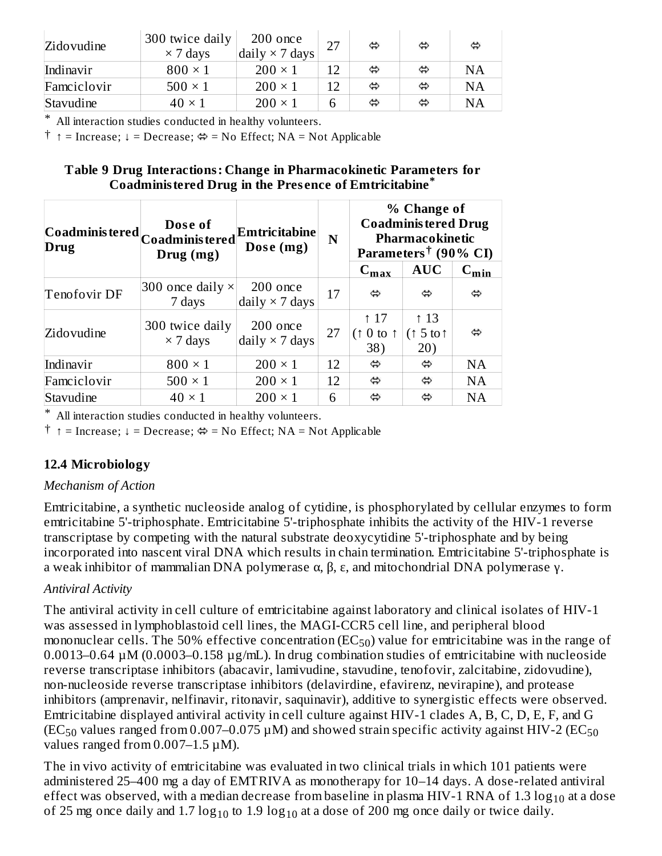| Zidovudine  | 300 twice daily<br>$\times$ 7 days | 200 once<br>daily $\times$ 7 days | 27 | ⇔ | ⇔ | ⇔  |
|-------------|------------------------------------|-----------------------------------|----|---|---|----|
| Indinavir   | $800 \times 1$                     | $200 \times 1$                    |    | ⇔ | ⇔ | NΑ |
| Famciclovir | $500 \times 1$                     | $200 \times 1$                    |    | ⇔ | ⇔ | NΑ |
| Stavudine   | $40 \times 1$                      | $200 \times 1$                    |    | ⇔ | ⇔ | NΑ |

\* All interaction studies conducted in healthy volunteers.

† ↑ = Increase; ↓ = Decrease; ⇔ = No Effect; NA = Not Applicable

#### **Table 9 Drug Interactions: Change in Pharmacokinetic Parameters for Coadministered Drug in the Pres ence of Emtricitabine \***

| $ $ Coadminis tered $ $ Coadminis tered $ $<br>Drug | Dose of<br>Drug(mg)                | <b>Emtricitabine</b><br>Dose (mg) | N  | % Change of<br><b>Coadministered Drug</b><br>Pharmacokinetic<br>Parameters <sup>†</sup> (90% CI) |                                               |            |  |
|-----------------------------------------------------|------------------------------------|-----------------------------------|----|--------------------------------------------------------------------------------------------------|-----------------------------------------------|------------|--|
|                                                     |                                    |                                   |    | $C_{\frac{max}{max}}$                                                                            | <b>AUC</b>                                    | $C_{\min}$ |  |
| Tenofovir DF                                        | 300 once daily $\times$<br>7 days  | 200 once<br>daily $\times$ 7 days | 17 | ⇔                                                                                                | ⇔                                             | ⇔          |  |
| Zidovudine                                          | 300 twice daily<br>$\times$ 7 days | 200 once<br>daily $\times$ 7 days | 27 | 17<br>( $\uparrow$ 0 to $\uparrow$<br>38)                                                        | $\uparrow$ 13<br>$(15 \text{ to } 1)$<br>(20) | ⇔          |  |
| Indinavir                                           | $800 \times 1$                     | $200 \times 1$                    | 12 | ⇔                                                                                                | ⇔                                             | NA         |  |
| Famciclovir                                         | $500 \times 1$                     | $200 \times 1$                    | 12 | ⇔                                                                                                | ⇔                                             | NA         |  |
| Stavudine                                           | $40 \times 1$                      | $200 \times 1$                    | 6  | ⇔                                                                                                | ⇔                                             | NA         |  |

\* All interaction studies conducted in healthy volunteers.

† ↑ = Increase; ↓ = Decrease; ⇔ = No Effect; NA = Not Applicable

# **12.4 Microbiology**

### *Mechanism of Action*

Emtricitabine, a synthetic nucleoside analog of cytidine, is phosphorylated by cellular enzymes to form emtricitabine 5'-triphosphate. Emtricitabine 5'-triphosphate inhibits the activity of the HIV-1 reverse transcriptase by competing with the natural substrate deoxycytidine 5'-triphosphate and by being incorporated into nascent viral DNA which results in chain termination. Emtricitabine 5'-triphosphate is a weak inhibitor of mammalian DNA polymerase  $\alpha$ ,  $\beta$ ,  $\varepsilon$ , and mitochondrial DNA polymerase γ.

### *Antiviral Activity*

The antiviral activity in cell culture of emtricitabine against laboratory and clinical isolates of HIV-1 was assessed in lymphoblastoid cell lines, the MAGI-CCR5 cell line, and peripheral blood mononuclear cells. The 50% effective concentration (EC $_{50}$ ) value for emtricitabine was in the range of 0.0013–0.64 µM (0.0003–0.158 µg/mL). In drug combination studies of emtricitabine with nucleoside reverse transcriptase inhibitors (abacavir, lamivudine, stavudine, tenofovir, zalcitabine, zidovudine), non-nucleoside reverse transcriptase inhibitors (delavirdine, efavirenz, nevirapine), and protease inhibitors (amprenavir, nelfinavir, ritonavir, saquinavir), additive to synergistic effects were observed. Emtricitabine displayed antiviral activity in cell culture against HIV-1 clades A, B, C, D, E, F, and G (EC<sub>50</sub> values ranged from 0.007–0.075  $\mu$ M) and showed strain specific activity against HIV-2 (EC<sub>50</sub> values ranged from  $0.007-1.5 \mu M$ ).

The in vivo activity of emtricitabine was evaluated in two clinical trials in which 101 patients were administered 25–400 mg a day of EMTRIVA as monotherapy for 10–14 days. A dose-related antiviral effect was observed, with a median decrease from baseline in plasma HIV-1 RNA of 1.3  $\log_{10}$  at a dose of 25 mg once daily and 1.7  $log_{10}$  to 1.9  $log_{10}$  at a dose of 200 mg once daily or twice daily.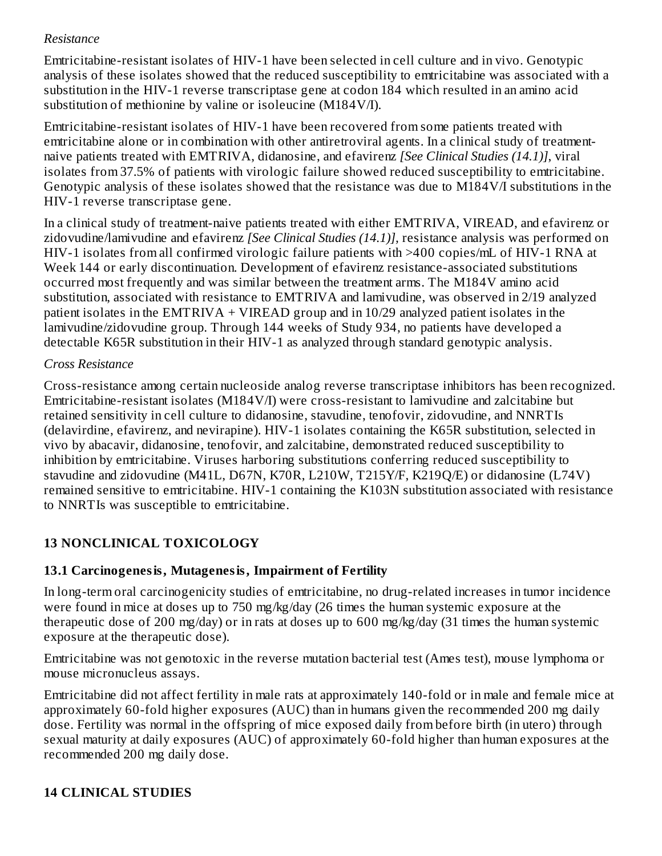# *Resistance*

Emtricitabine-resistant isolates of HIV-1 have been selected in cell culture and in vivo. Genotypic analysis of these isolates showed that the reduced susceptibility to emtricitabine was associated with a substitution in the HIV-1 reverse transcriptase gene at codon 184 which resulted in an amino acid substitution of methionine by valine or isoleucine (M184V/I).

Emtricitabine-resistant isolates of HIV-1 have been recovered from some patients treated with emtricitabine alone or in combination with other antiretroviral agents. In a clinical study of treatmentnaive patients treated with EMTRIVA, didanosine, and efavirenz *[See Clinical Studies (14.1)]*, viral isolates from 37.5% of patients with virologic failure showed reduced susceptibility to emtricitabine. Genotypic analysis of these isolates showed that the resistance was due to M184V/I substitutions in the HIV-1 reverse transcriptase gene.

In a clinical study of treatment-naive patients treated with either EMTRIVA, VIREAD, and efavirenz or zidovudine/lamivudine and efavirenz *[See Clinical Studies (14.1)],* resistance analysis was performed on HIV-1 isolates from all confirmed virologic failure patients with >400 copies/mL of HIV-1 RNA at Week 144 or early discontinuation. Development of efavirenz resistance-associated substitutions occurred most frequently and was similar between the treatment arms. The M184V amino acid substitution, associated with resistance to EMTRIVA and lamivudine, was observed in 2/19 analyzed patient isolates in the EMTRIVA + VIREAD group and in 10/29 analyzed patient isolates in the lamivudine/zidovudine group. Through 144 weeks of Study 934, no patients have developed a detectable K65R substitution in their HIV-1 as analyzed through standard genotypic analysis.

### *Cross Resistance*

Cross-resistance among certain nucleoside analog reverse transcriptase inhibitors has been recognized. Emtricitabine-resistant isolates (M184V/I) were cross-resistant to lamivudine and zalcitabine but retained sensitivity in cell culture to didanosine, stavudine, tenofovir, zidovudine, and NNRTIs (delavirdine, efavirenz, and nevirapine). HIV-1 isolates containing the K65R substitution, selected in vivo by abacavir, didanosine, tenofovir, and zalcitabine, demonstrated reduced susceptibility to inhibition by emtricitabine. Viruses harboring substitutions conferring reduced susceptibility to stavudine and zidovudine (M41L, D67N, K70R, L210W, T215Y/F, K219Q/E) or didanosine (L74V) remained sensitive to emtricitabine. HIV-1 containing the K103N substitution associated with resistance to NNRTIs was susceptible to emtricitabine.

# **13 NONCLINICAL TOXICOLOGY**

# **13.1 Carcinogenesis, Mutagenesis, Impairment of Fertility**

In long-term oral carcinogenicity studies of emtricitabine, no drug-related increases in tumor incidence were found in mice at doses up to 750 mg/kg/day (26 times the human systemic exposure at the therapeutic dose of 200 mg/day) or in rats at doses up to 600 mg/kg/day (31 times the human systemic exposure at the therapeutic dose).

Emtricitabine was not genotoxic in the reverse mutation bacterial test (Ames test), mouse lymphoma or mouse micronucleus assays.

Emtricitabine did not affect fertility in male rats at approximately 140-fold or in male and female mice at approximately 60-fold higher exposures (AUC) than in humans given the recommended 200 mg daily dose. Fertility was normal in the offspring of mice exposed daily from before birth (in utero) through sexual maturity at daily exposures (AUC) of approximately 60-fold higher than human exposures at the recommended 200 mg daily dose.

# **14 CLINICAL STUDIES**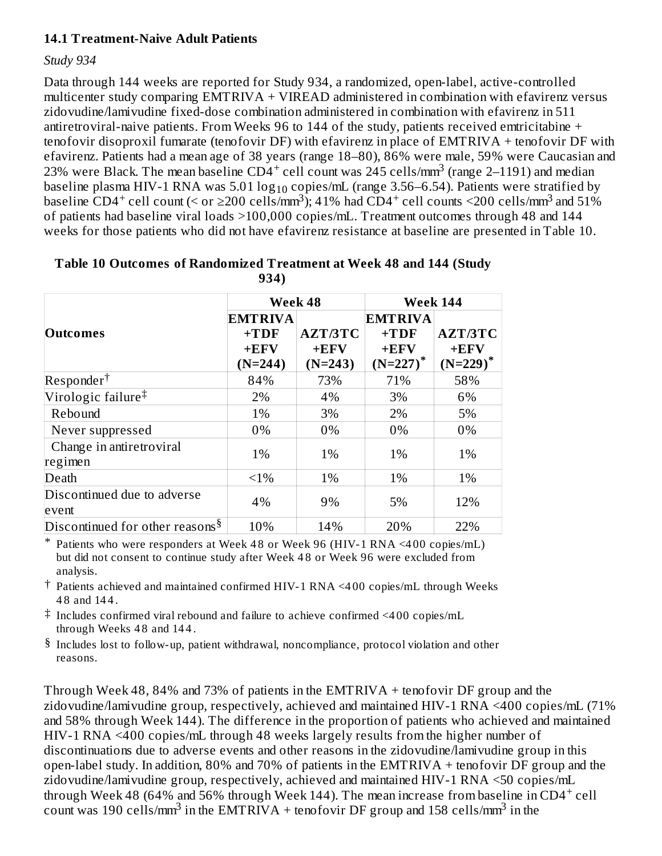### **14.1 Treatment-Naive Adult Patients**

#### *Study 934*

Data through 144 weeks are reported for Study 934, a randomized, open-label, active-controlled multicenter study comparing EMTRIVA + VIREAD administered in combination with efavirenz versus zidovudine/lamivudine fixed-dose combination administered in combination with efavirenz in 511 antiretroviral-naive patients. From Weeks 96 to 144 of the study, patients received emtricitabine + tenofovir disoproxil fumarate (tenofovir DF) with efavirenz in place of EMTRIVA + tenofovir DF with efavirenz. Patients had a mean age of 38 years (range 18–80), 86% were male, 59% were Caucasian and 23% were Black. The mean baseline  $CD4^+$  cell count was 245 cells/mm<sup>3</sup> (range 2–1191) and median baseline plasma HIV-1 RNA was 5.01  $\log_{10}$  copies/mL (range 3.56–6.54). Patients were stratified by baseline CD4<sup>+</sup> cell count (< or  $\geq$ 200 cells/mm<sup>3</sup>); 41% had CD4<sup>+</sup> cell counts <200 cells/mm<sup>3</sup> and 51% of patients had baseline viral loads >100,000 copies/mL. Treatment outcomes through 48 and 144 weeks for those patients who did not have efavirenz resistance at baseline are presented in Table 10.

|                                             | Week 48        |           | <b>Week 144</b> |                |  |
|---------------------------------------------|----------------|-----------|-----------------|----------------|--|
|                                             | <b>EMTRIVA</b> |           | <b>EMTRIVA</b>  |                |  |
| <b>Outcomes</b>                             | $+TDF$         | AZT/3TC   | $+TDF$          | <b>AZT/3TC</b> |  |
|                                             | $+EFV$         | $+EFV$    | $+EFV$          | $+EFV$         |  |
|                                             | $(N=244)$      | $(N=243)$ | $(N=227)^*$     | $(N=229)^*$    |  |
| $Responder^{\dagger}$                       | 84%            | 73%       | 71%             | 58%            |  |
| Virologic failure <sup>‡</sup>              | 2%             | 4%        | 3%              | 6%             |  |
| Rebound                                     | 1%             | 3%        | 2%              | 5%             |  |
| Never suppressed                            | 0%             | 0%        | 0%              | 0%             |  |
| Change in antiretroviral                    | 1%             | 1%        | 1%              |                |  |
| regimen                                     |                |           |                 | 1%             |  |
| Death                                       | $<1\%$         | 1%        | 1%              | 1%             |  |
| Discontinued due to adverse                 | 4%             | 9%        | 5%              | 12%            |  |
| levent                                      |                |           |                 |                |  |
| Discontinued for other reasons <sup>§</sup> | 10%            | 14%       | 20%             | 22%            |  |

| Table 10 Outcomes of Randomized Treatment at Week 48 and 144 (Study |
|---------------------------------------------------------------------|
| 934)                                                                |

\* Patients who were responders at Week 48 or Week 96 (HIV-1 RNA <400 copies/mL) but did not consent to continue study after Week 48 or Week 96 were excluded from analysis.

† Patients achieved and maintained confirmed HIV-1 RNA <4 00 copies/mL through Weeks 48 and 144.

‡ Includes confirmed viral rebound and failure to achieve confirmed <4 00 copies/mL through Weeks 48 and 144.

§ Includes lost to follow-up, patient withdrawal, noncompliance, protocol violation and other reasons.

Through Week 48, 84% and 73% of patients in the EMTRIVA + tenofovir DF group and the zidovudine/lamivudine group, respectively, achieved and maintained HIV-1 RNA <400 copies/mL (71% and 58% through Week 144). The difference in the proportion of patients who achieved and maintained HIV-1 RNA <400 copies/mL through 48 weeks largely results from the higher number of discontinuations due to adverse events and other reasons in the zidovudine/lamivudine group in this open-label study. In addition, 80% and 70% of patients in the EMTRIVA + tenofovir DF group and the zidovudine/lamivudine group, respectively, achieved and maintained HIV-1 RNA <50 copies/mL through Week 48 (64% and 56% through Week 144). The mean increase from baseline in CD4<sup>+</sup> cell count was 190 cells/mm<sup>3</sup> in the EMTRIVA + tenofovir DF group and 158 cells/mm<sup>3</sup> in the 3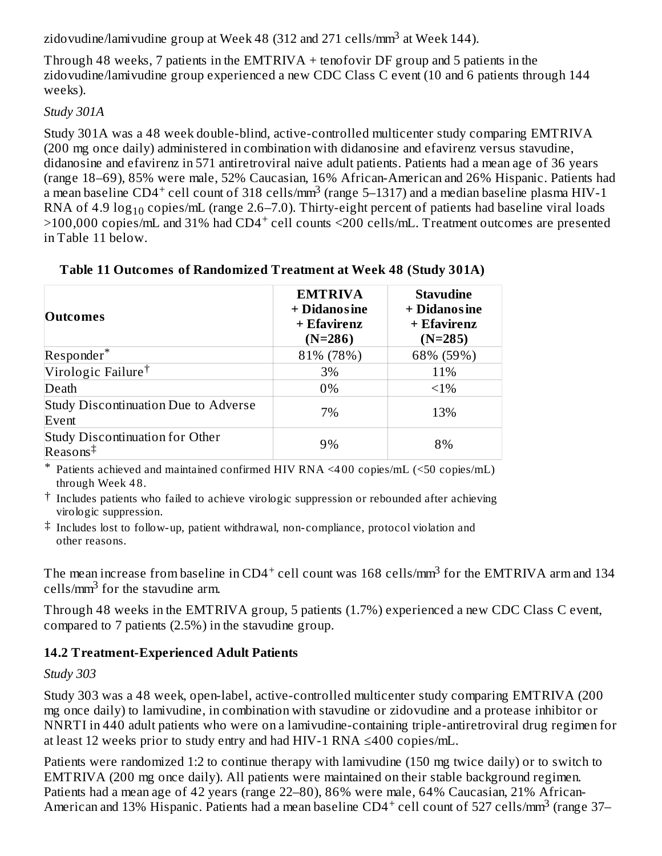zidovudine/lamivudine group at Week 48 (312 and 271 cells/mm $^3$  at Week 144).

Through 48 weeks, 7 patients in the EMTRIVA + tenofovir DF group and 5 patients in the zidovudine/lamivudine group experienced a new CDC Class C event (10 and 6 patients through 144 weeks).

### *Study 301A*

Study 301A was a 48 week double-blind, active-controlled multicenter study comparing EMTRIVA (200 mg once daily) administered in combination with didanosine and efavirenz versus stavudine, didanosine and efavirenz in 571 antiretroviral naive adult patients. Patients had a mean age of 36 years (range 18–69), 85% were male, 52% Caucasian, 16% African-American and 26% Hispanic. Patients had a mean baseline CD4<sup>+</sup> cell count of 318 cells/mm<sup>3</sup> (range 5–1317) and a median baseline plasma HIV-1 RNA of 4.9  $\log_{10}$  copies/mL (range 2.6–7.0). Thirty-eight percent of patients had baseline viral loads  $>$ 100,000 copies/mL and 31% had CD4<sup>+</sup> cell counts <200 cells/mL. Treatment outcomes are presented in Table 11 below.

| <b>Outcomes</b>                                                      | <b>EMTRIVA</b><br>+ Didanosine<br>+ Efavirenz<br>$(N=286)$ | <b>Stavudine</b><br>+ Didanosine<br>+ Efavirenz<br>$(N=285)$ |
|----------------------------------------------------------------------|------------------------------------------------------------|--------------------------------------------------------------|
| Responder*                                                           | 81% (78%)                                                  | 68% (59%)                                                    |
| Virologic Failure <sup>†</sup>                                       | 3%                                                         | 11%                                                          |
| Death                                                                | $0\%$                                                      | $<1\%$                                                       |
| <b>Study Discontinuation Due to Adverse</b><br>Event                 | 7%                                                         | 13%                                                          |
| <b>Study Discontinuation for Other</b><br>$\text{Reason}^{\ddagger}$ | 9%                                                         | 8%                                                           |

### **Table 11 Outcomes of Randomized Treatment at Week 48 (Study 301A)**

\* Patients achieved and maintained confirmed HIV RNA <4 00 copies/mL (<50 copies/mL) through Week 48.

 $^\dagger$  Includes patients who failed to achieve virologic suppression or rebounded after achieving virologic suppression.

‡ Includes lost to follow-up, patient withdrawal, non-compliance, protocol violation and other reasons.

The mean increase from baseline in CD4<sup>+</sup> cell count was 168 cells/mm $^3$  for the EMTRIVA arm and 134 cells/mm<sup>3</sup> for the stavudine arm.

Through 48 weeks in the EMTRIVA group, 5 patients (1.7%) experienced a new CDC Class C event, compared to 7 patients (2.5%) in the stavudine group.

### **14.2 Treatment-Experienced Adult Patients**

### *Study 303*

Study 303 was a 48 week, open-label, active-controlled multicenter study comparing EMTRIVA (200 mg once daily) to lamivudine, in combination with stavudine or zidovudine and a protease inhibitor or NNRTI in 440 adult patients who were on a lamivudine-containing triple-antiretroviral drug regimen for at least 12 weeks prior to study entry and had HIV-1 RNA ≤400 copies/mL.

Patients were randomized 1:2 to continue therapy with lamivudine (150 mg twice daily) or to switch to EMTRIVA (200 mg once daily). All patients were maintained on their stable background regimen. Patients had a mean age of 42 years (range 22–80), 86% were male, 64% Caucasian, 21% African-American and 13% Hispanic. Patients had a mean baseline CD4<sup>+</sup> cell count of 527 cells/mm<sup>3</sup> (range 37–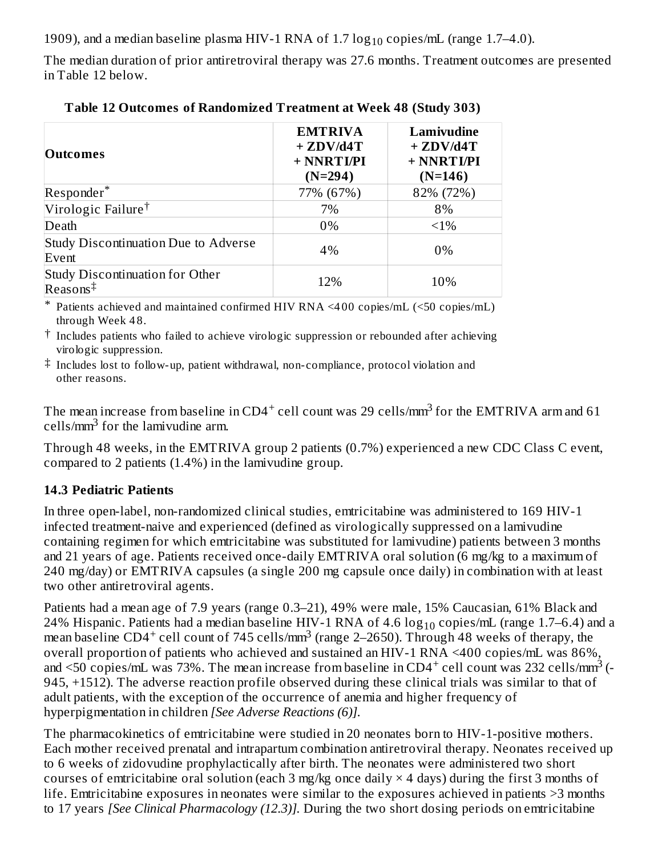1909), and a median baseline plasma HIV-1 RNA of  $1.7 \log_{10}$  copies/mL (range  $1.7-4.0$ ).

The median duration of prior antiretroviral therapy was 27.6 months. Treatment outcomes are presented in Table 12 below.

| <b>Outcomes</b>                                                      | <b>EMTRIVA</b><br>$+ ZDV/d4T$<br>+ NNRTI/PI<br>$(N=294)$ | Lamivudine<br>$+ ZDV/d4T$<br>$+ NNRTLPI$<br>$(N=146)$ |
|----------------------------------------------------------------------|----------------------------------------------------------|-------------------------------------------------------|
| Responder <sup>*</sup>                                               | 77% (67%)                                                | 82% (72%)                                             |
| Virologic Failure <sup>†</sup>                                       | 7%                                                       | 8%                                                    |
| Death                                                                | 0%                                                       | $<1\%$                                                |
| <b>Study Discontinuation Due to Adverse</b><br>Event                 | 4%                                                       | $0\%$                                                 |
| <b>Study Discontinuation for Other</b><br>$\text{Reason}^{\ddagger}$ | 12%                                                      | 10%                                                   |

| <b>Table 12 Outcomes of Randomized Treatment at Week 48 (Study 303)</b> |
|-------------------------------------------------------------------------|
|-------------------------------------------------------------------------|

\* Patients achieved and maintained confirmed HIV RNA <4 00 copies/mL (<50 copies/mL) through Week 48.

 $^\dagger$  Includes patients who failed to achieve virologic suppression or rebounded after achieving virologic suppression.

‡ Includes lost to follow-up, patient withdrawal, non-compliance, protocol violation and other reasons.

The mean increase from baseline in CD4<sup>+</sup> cell count was 29 cells/mm<sup>3</sup> for the EMTRIVA arm and 61 cells/mm<sup>3</sup> for the lamivudine arm.

Through 48 weeks, in the EMTRIVA group 2 patients (0.7%) experienced a new CDC Class C event, compared to 2 patients (1.4%) in the lamivudine group.

# **14.3 Pediatric Patients**

In three open-label, non-randomized clinical studies, emtricitabine was administered to 169 HIV-1 infected treatment-naive and experienced (defined as virologically suppressed on a lamivudine containing regimen for which emtricitabine was substituted for lamivudine) patients between 3 months and 21 years of age. Patients received once-daily EMTRIVA oral solution (6 mg/kg to a maximum of 240 mg/day) or EMTRIVA capsules (a single 200 mg capsule once daily) in combination with at least two other antiretroviral agents.

Patients had a mean age of 7.9 years (range 0.3–21), 49% were male, 15% Caucasian, 61% Black and 24% Hispanic. Patients had a median baseline HIV-1 RNA of 4.6  $log_{10}$  copies/mL (range 1.7–6.4) and a mean baseline CD4<sup>+</sup> cell count of 745 cells/mm<sup>3</sup> (range 2–2650). Through 48 weeks of therapy, the overall proportion of patients who achieved and sustained an HIV-1 RNA <400 copies/mL was 86%, and <50 copies/mL was 73%. The mean increase from baseline in CD4<sup>+</sup> cell count was 232 cells/mm<sup>3</sup> (-945, +1512). The adverse reaction profile observed during these clinical trials was similar to that of adult patients, with the exception of the occurrence of anemia and higher frequency of hyperpigmentation in children *[See Adverse Reactions (6)].*

The pharmacokinetics of emtricitabine were studied in 20 neonates born to HIV-1-positive mothers. Each mother received prenatal and intrapartum combination antiretroviral therapy. Neonates received up to 6 weeks of zidovudine prophylactically after birth. The neonates were administered two short courses of emtricitabine oral solution (each 3 mg/kg once daily  $\times$  4 days) during the first 3 months of life. Emtricitabine exposures in neonates were similar to the exposures achieved in patients >3 months to 17 years *[See Clinical Pharmacology (12.3)].* During the two short dosing periods on emtricitabine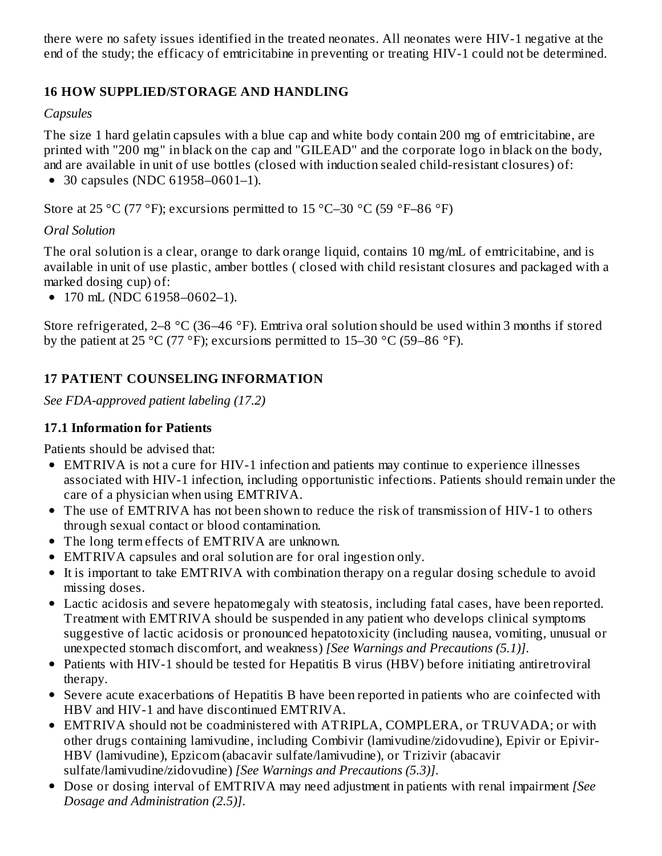there were no safety issues identified in the treated neonates. All neonates were HIV-1 negative at the end of the study; the efficacy of emtricitabine in preventing or treating HIV-1 could not be determined.

# **16 HOW SUPPLIED/STORAGE AND HANDLING**

# *Capsules*

The size 1 hard gelatin capsules with a blue cap and white body contain 200 mg of emtricitabine, are printed with "200 mg" in black on the cap and "GILEAD" and the corporate logo in black on the body, and are available in unit of use bottles (closed with induction sealed child-resistant closures) of:

• 30 capsules (NDC 61958-0601-1).

Store at 25 °C (77 °F); excursions permitted to 15 °C–30 °C (59 °F–86 °F)

# *Oral Solution*

The oral solution is a clear, orange to dark orange liquid, contains 10 mg/mL of emtricitabine, and is available in unit of use plastic, amber bottles ( closed with child resistant closures and packaged with a marked dosing cup) of:

• 170 mL (NDC 61958-0602-1).

Store refrigerated, 2–8  $\degree$ C (36–46  $\degree$ F). Emtriva oral solution should be used within 3 months if stored by the patient at 25 °C (77 °F); excursions permitted to 15–30 °C (59–86 °F).

# **17 PATIENT COUNSELING INFORMATION**

*See FDA-approved patient labeling (17.2)*

# **17.1 Information for Patients**

Patients should be advised that:

- EMTRIVA is not a cure for HIV-1 infection and patients may continue to experience illnesses associated with HIV-1 infection, including opportunistic infections. Patients should remain under the care of a physician when using EMTRIVA.
- The use of EMTRIVA has not been shown to reduce the risk of transmission of HIV-1 to others through sexual contact or blood contamination.
- The long term effects of EMTRIVA are unknown.
- EMTRIVA capsules and oral solution are for oral ingestion only.
- It is important to take EMTRIVA with combination therapy on a regular dosing schedule to avoid missing doses.
- Lactic acidosis and severe hepatomegaly with steatosis, including fatal cases, have been reported. Treatment with EMTRIVA should be suspended in any patient who develops clinical symptoms suggestive of lactic acidosis or pronounced hepatotoxicity (including nausea, vomiting, unusual or unexpected stomach discomfort, and weakness) *[See Warnings and Precautions (5.1)]*.
- Patients with HIV-1 should be tested for Hepatitis B virus (HBV) before initiating antiretroviral therapy.
- Severe acute exacerbations of Hepatitis B have been reported in patients who are coinfected with HBV and HIV-1 and have discontinued EMTRIVA.
- EMTRIVA should not be coadministered with ATRIPLA, COMPLERA, or TRUVADA; or with other drugs containing lamivudine, including Combivir (lamivudine/zidovudine), Epivir or Epivir-HBV (lamivudine), Epzicom (abacavir sulfate/lamivudine), or Trizivir (abacavir sulfate/lamivudine/zidovudine) *[See Warnings and Precautions (5.3)]*.
- Dose or dosing interval of EMTRIVA may need adjustment in patients with renal impairment *[See Dosage and Administration (2.5)]*.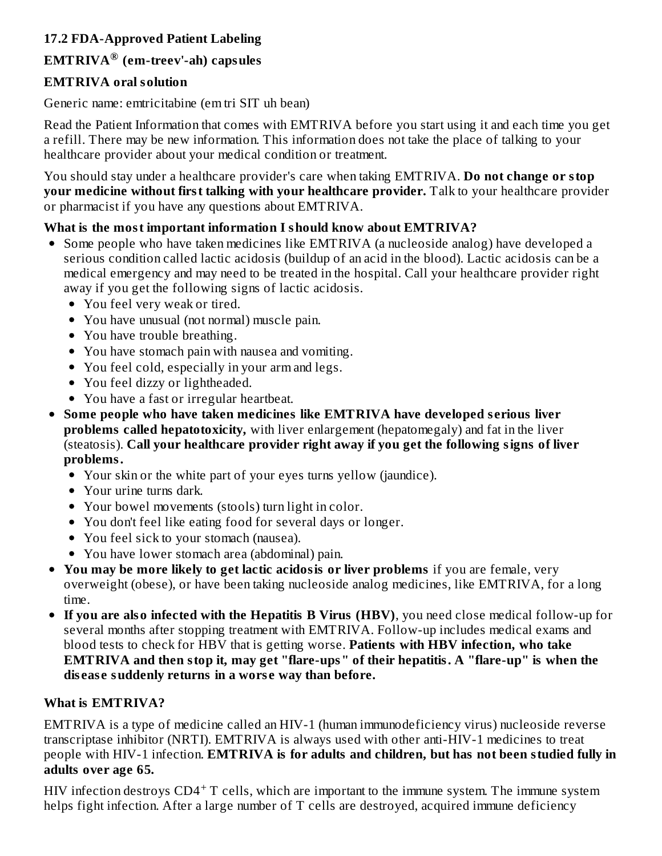# **17.2 FDA-Approved Patient Labeling**

# **EMTRIVA (em-treev'-ah) capsules ®**

# **EMTRIVA oral solution**

Generic name: emtricitabine (em tri SIT uh bean)

Read the Patient Information that comes with EMTRIVA before you start using it and each time you get a refill. There may be new information. This information does not take the place of talking to your healthcare provider about your medical condition or treatment.

You should stay under a healthcare provider's care when taking EMTRIVA. **Do not change or stop your medicine without first talking with your healthcare provider.** Talk to your healthcare provider or pharmacist if you have any questions about EMTRIVA.

### **What is the most important information I should know about EMTRIVA?**

- Some people who have taken medicines like EMTRIVA (a nucleoside analog) have developed a serious condition called lactic acidosis (buildup of an acid in the blood). Lactic acidosis can be a medical emergency and may need to be treated in the hospital. Call your healthcare provider right away if you get the following signs of lactic acidosis.
	- You feel very weak or tired.
	- You have unusual (not normal) muscle pain.
	- You have trouble breathing.
	- You have stomach pain with nausea and vomiting.
	- You feel cold, especially in your arm and legs.
	- You feel dizzy or lightheaded.
	- You have a fast or irregular heartbeat.
- **Some people who have taken medicines like EMTRIVA have developed s erious liver problems called hepatotoxicity,** with liver enlargement (hepatomegaly) and fat in the liver (steatosis). **Call your healthcare provider right away if you get the following signs of liver problems.**
	- Your skin or the white part of your eyes turns yellow (jaundice).
	- Your urine turns dark.
	- Your bowel movements (stools) turn light in color.
	- You don't feel like eating food for several days or longer.
	- You feel sick to your stomach (nausea).
	- You have lower stomach area (abdominal) pain.
- **You may be more likely to get lactic acidosis or liver problems** if you are female, very overweight (obese), or have been taking nucleoside analog medicines, like EMTRIVA, for a long time.
- **If you are also infected with the Hepatitis B Virus (HBV)**, you need close medical follow-up for several months after stopping treatment with EMTRIVA. Follow-up includes medical exams and blood tests to check for HBV that is getting worse. **Patients with HBV infection, who take EMTRIVA and then stop it, may get "flare-ups" of their hepatitis. A "flare-up" is when the dis eas e suddenly returns in a wors e way than before.**

# **What is EMTRIVA?**

EMTRIVA is a type of medicine called an HIV-1 (human immunodeficiency virus) nucleoside reverse transcriptase inhibitor (NRTI). EMTRIVA is always used with other anti-HIV-1 medicines to treat people with HIV-1 infection. **EMTRIVA is for adults and children, but has not been studied fully in adults over age 65.**

HIV infection destroys  $CD4^+T$  cells, which are important to the immune system. The immune system helps fight infection. After a large number of T cells are destroyed, acquired immune deficiency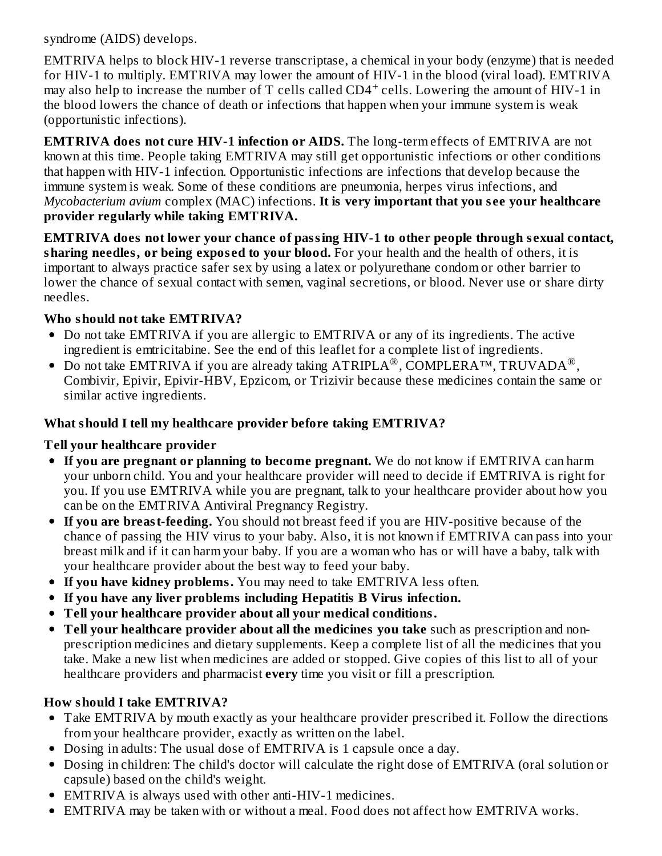syndrome (AIDS) develops.

EMTRIVA helps to block HIV-1 reverse transcriptase, a chemical in your body (enzyme) that is needed for HIV-1 to multiply. EMTRIVA may lower the amount of HIV-1 in the blood (viral load). EMTRIVA may also help to increase the number of T cells called  $CD4^+$  cells. Lowering the amount of HIV-1 in the blood lowers the chance of death or infections that happen when your immune system is weak (opportunistic infections).

**EMTRIVA does not cure HIV-1 infection or AIDS.** The long-term effects of EMTRIVA are not known at this time. People taking EMTRIVA may still get opportunistic infections or other conditions that happen with HIV-1 infection. Opportunistic infections are infections that develop because the immune system is weak. Some of these conditions are pneumonia, herpes virus infections, and *Mycobacterium avium* complex (MAC) infections. **It is very important that you s ee your healthcare provider regularly while taking EMTRIVA.**

**EMTRIVA does not lower your chance of passing HIV-1 to other people through s exual contact, sharing needles, or being expos ed to your blood.** For your health and the health of others, it is important to always practice safer sex by using a latex or polyurethane condom or other barrier to lower the chance of sexual contact with semen, vaginal secretions, or blood. Never use or share dirty needles.

# **Who should not take EMTRIVA?**

- Do not take EMTRIVA if you are allergic to EMTRIVA or any of its ingredients. The active ingredient is emtricitabine. See the end of this leaflet for a complete list of ingredients.
- Do not take EMTRIVA if you are already taking  $\text{ATRIPLA}^{\circledR}$ , COMPLERAIM, TRUVADA $^{\circledR}$ , Combivir, Epivir, Epivir-HBV, Epzicom, or Trizivir because these medicines contain the same or similar active ingredients.

# **What should I tell my healthcare provider before taking EMTRIVA?**

# **Tell your healthcare provider**

- **If you are pregnant or planning to become pregnant.** We do not know if EMTRIVA can harm your unborn child. You and your healthcare provider will need to decide if EMTRIVA is right for you. If you use EMTRIVA while you are pregnant, talk to your healthcare provider about how you can be on the EMTRIVA Antiviral Pregnancy Registry.
- **If you are breast-feeding.** You should not breast feed if you are HIV-positive because of the chance of passing the HIV virus to your baby. Also, it is not known if EMTRIVA can pass into your breast milk and if it can harm your baby. If you are a woman who has or will have a baby, talk with your healthcare provider about the best way to feed your baby.
- **If you have kidney problems.** You may need to take EMTRIVA less often.
- **If you have any liver problems including Hepatitis B Virus infection.**
- **Tell your healthcare provider about all your medical conditions.**
- **Tell your healthcare provider about all the medicines you take** such as prescription and nonprescription medicines and dietary supplements. Keep a complete list of all the medicines that you take. Make a new list when medicines are added or stopped. Give copies of this list to all of your healthcare providers and pharmacist **every** time you visit or fill a prescription.

# **How should I take EMTRIVA?**

- Take EMTRIVA by mouth exactly as your healthcare provider prescribed it. Follow the directions from your healthcare provider, exactly as written on the label.
- Dosing in adults: The usual dose of EMTRIVA is 1 capsule once a day.
- Dosing in children: The child's doctor will calculate the right dose of EMTRIVA (oral solution or capsule) based on the child's weight.
- EMTRIVA is always used with other anti-HIV-1 medicines.
- EMTRIVA may be taken with or without a meal. Food does not affect how EMTRIVA works.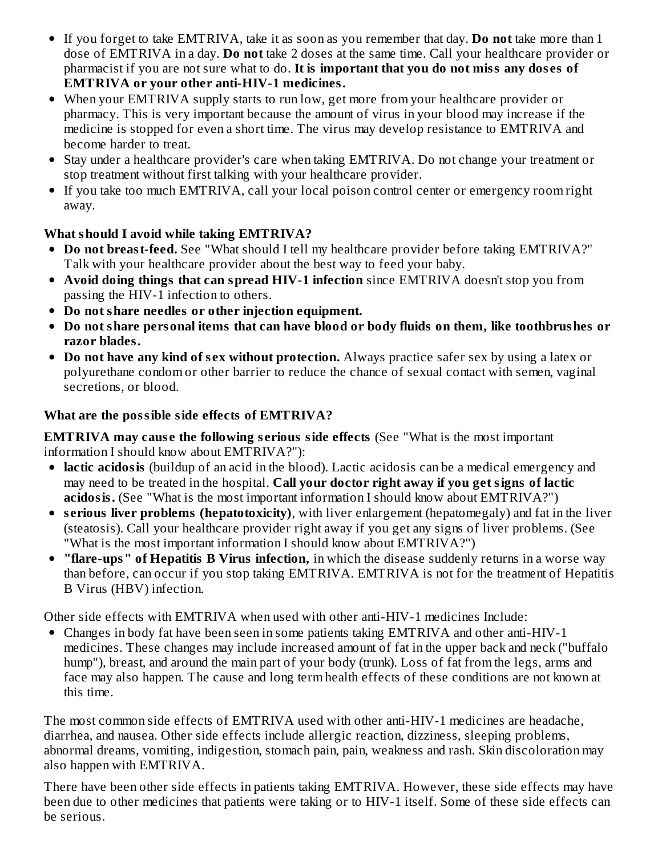- If you forget to take EMTRIVA, take it as soon as you remember that day. **Do not** take more than 1 dose of EMTRIVA in a day. **Do not** take 2 doses at the same time. Call your healthcare provider or pharmacist if you are not sure what to do. **It is important that you do not miss any dos es of EMTRIVA or your other anti-HIV-1 medicines.**
- When your EMTRIVA supply starts to run low, get more from your healthcare provider or pharmacy. This is very important because the amount of virus in your blood may increase if the medicine is stopped for even a short time. The virus may develop resistance to EMTRIVA and become harder to treat.
- Stay under a healthcare provider's care when taking EMTRIVA. Do not change your treatment or stop treatment without first talking with your healthcare provider.
- If you take too much EMTRIVA, call your local poison control center or emergency room right away.

# **What should I avoid while taking EMTRIVA?**

- **Do not breast-feed.** See "What should I tell my healthcare provider before taking EMTRIVA?" Talk with your healthcare provider about the best way to feed your baby.
- **Avoid doing things that can spread HIV-1 infection** since EMTRIVA doesn't stop you from passing the HIV-1 infection to others.
- **Do not share needles or other injection equipment.**
- **Do not share personal items that can have blood or body fluids on them, like toothbrushes or razor blades.**
- **Do** not have any kind of sex without protection. Always practice safer sex by using a latex or polyurethane condom or other barrier to reduce the chance of sexual contact with semen, vaginal secretions, or blood.

# **What are the possible side effects of EMTRIVA?**

**EMTRIVA** may cause the following serious side effects (See "What is the most important information I should know about EMTRIVA?"):

- **lactic acidosis** (buildup of an acid in the blood). Lactic acidosis can be a medical emergency and may need to be treated in the hospital. **Call your doctor right away if you get signs of lactic acidosis.** (See "What is the most important information I should know about EMTRIVA?")
- **s erious liver problems (hepatotoxicity)**, with liver enlargement (hepatomegaly) and fat in the liver (steatosis). Call your healthcare provider right away if you get any signs of liver problems. (See "What is the most important information I should know about EMTRIVA?")
- **"flare-ups" of Hepatitis B Virus infection,** in which the disease suddenly returns in a worse way than before, can occur if you stop taking EMTRIVA. EMTRIVA is not for the treatment of Hepatitis B Virus (HBV) infection.

Other side effects with EMTRIVA when used with other anti-HIV-1 medicines Include:

Changes in body fat have been seen in some patients taking EMTRIVA and other anti-HIV-1 medicines. These changes may include increased amount of fat in the upper back and neck ("buffalo hump"), breast, and around the main part of your body (trunk). Loss of fat from the legs, arms and face may also happen. The cause and long term health effects of these conditions are not known at this time.

The most common side effects of EMTRIVA used with other anti-HIV-1 medicines are headache, diarrhea, and nausea. Other side effects include allergic reaction, dizziness, sleeping problems, abnormal dreams, vomiting, indigestion, stomach pain, pain, weakness and rash. Skin discoloration may also happen with EMTRIVA.

There have been other side effects in patients taking EMTRIVA. However, these side effects may have been due to other medicines that patients were taking or to HIV-1 itself. Some of these side effects can be serious.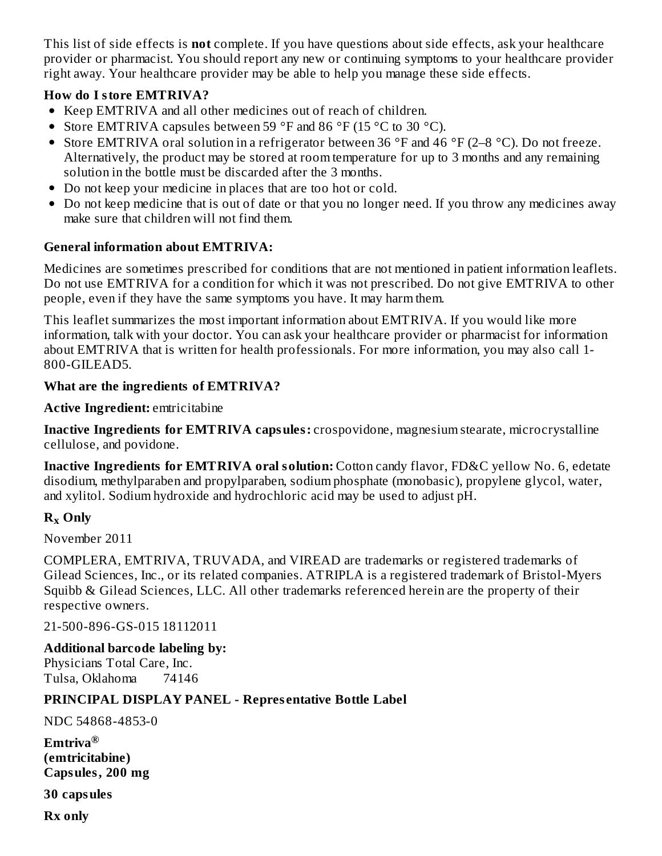This list of side effects is **not** complete. If you have questions about side effects, ask your healthcare provider or pharmacist. You should report any new or continuing symptoms to your healthcare provider right away. Your healthcare provider may be able to help you manage these side effects.

### **How do I store EMTRIVA?**

- Keep EMTRIVA and all other medicines out of reach of children.
- Store EMTRIVA capsules between 59 °F and 86 °F (15 °C to 30 °C).
- Store EMTRIVA oral solution in a refrigerator between 36 °F and 46 °F (2–8 °C). Do not freeze. Alternatively, the product may be stored at room temperature for up to 3 months and any remaining solution in the bottle must be discarded after the 3 months.
- Do not keep your medicine in places that are too hot or cold.
- Do not keep medicine that is out of date or that you no longer need. If you throw any medicines away make sure that children will not find them.

### **General information about EMTRIVA:**

Medicines are sometimes prescribed for conditions that are not mentioned in patient information leaflets. Do not use EMTRIVA for a condition for which it was not prescribed. Do not give EMTRIVA to other people, even if they have the same symptoms you have. It may harm them.

This leaflet summarizes the most important information about EMTRIVA. If you would like more information, talk with your doctor. You can ask your healthcare provider or pharmacist for information about EMTRIVA that is written for health professionals. For more information, you may also call 1- 800-GILEAD5.

### **What are the ingredients of EMTRIVA?**

**Active Ingredient:** emtricitabine

**Inactive Ingredients for EMTRIVA capsules:** crospovidone, magnesium stearate, microcrystalline cellulose, and povidone.

**Inactive Ingredients for EMTRIVA oral solution:** Cotton candy flavor, FD&C yellow No. 6, edetate disodium, methylparaben and propylparaben, sodium phosphate (monobasic), propylene glycol, water, and xylitol. Sodium hydroxide and hydrochloric acid may be used to adjust pH.

# $R_x$  Only

November 2011

COMPLERA, EMTRIVA, TRUVADA, and VIREAD are trademarks or registered trademarks of Gilead Sciences, Inc., or its related companies. ATRIPLA is a registered trademark of Bristol-Myers Squibb & Gilead Sciences, LLC. All other trademarks referenced herein are the property of their respective owners.

21-500-896-GS-015 18112011

**Additional barcode labeling by:**

Physicians Total Care, Inc. Tulsa, Oklahoma 74146

# **PRINCIPAL DISPLAY PANEL - Repres entative Bottle Label**

NDC 54868-4853-0

**Emtriva ®(emtricitabine) Capsules, 200 mg**

**30 capsules**

**Rx only**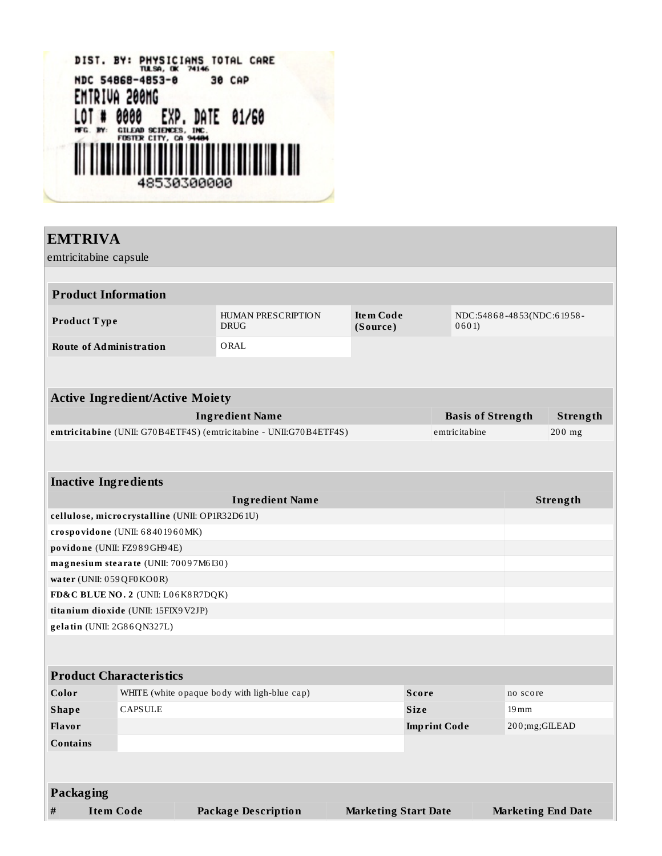| DIST. BY: PHYSICIANS TOTAL CARE<br>TULSA, OK 74146                             |  |
|--------------------------------------------------------------------------------|--|
| NDC 54868-4853-0<br><b>30 CAP</b>                                              |  |
| EMTRIUA 200MG                                                                  |  |
| LOT # 0000 EXP. DATE 01/60                                                     |  |
| GILEAD SCIENCES, INC.<br><b>NFG.</b> BY:<br>Foster City, CA 944 <del>0</del> 4 |  |
| <u>MTH MILLIMIAN MILLIMI</u><br>IIIIII<br>Ш<br>48530300000                     |  |
|                                                                                |  |

# **EMTRIVA**

| emtricitabine capsule                          |                               |                                                                    |  |                             |                     |                                   |               |                           |
|------------------------------------------------|-------------------------------|--------------------------------------------------------------------|--|-----------------------------|---------------------|-----------------------------------|---------------|---------------------------|
|                                                |                               |                                                                    |  |                             |                     |                                   |               |                           |
| <b>Product Information</b>                     |                               |                                                                    |  |                             |                     |                                   |               |                           |
| <b>Product Type</b>                            |                               | HUMAN PRESCRIPTION<br><b>DRUG</b>                                  |  | Item Code<br>(Source)       |                     | NDC:54868-4853(NDC:61958-<br>0601 |               |                           |
| <b>Route of Administration</b>                 |                               | ORAL                                                               |  |                             |                     |                                   |               |                           |
|                                                |                               |                                                                    |  |                             |                     |                                   |               |                           |
| <b>Active Ingredient/Active Moiety</b>         |                               |                                                                    |  |                             |                     |                                   |               |                           |
|                                                |                               | <b>Ingredient Name</b>                                             |  |                             |                     | <b>Basis of Strength</b>          |               | <b>Strength</b>           |
|                                                |                               | emtricitabine (UNII: G70B4ETF4S) (emtricitabine - UNII:G70B4ETF4S) |  |                             |                     | emtricitabine                     |               | 200 mg                    |
|                                                |                               |                                                                    |  |                             |                     |                                   |               |                           |
| <b>Inactive Ingredients</b>                    |                               |                                                                    |  |                             |                     |                                   |               |                           |
| <b>Ingredient Name</b>                         |                               |                                                                    |  |                             |                     | Strength                          |               |                           |
| cellulose, microcrystalline (UNII: OP1R32D61U) |                               |                                                                    |  |                             |                     |                                   |               |                           |
| crospovidone (UNII: 68401960MK)                |                               |                                                                    |  |                             |                     |                                   |               |                           |
| povidone (UNII: FZ989GH94E)                    |                               |                                                                    |  |                             |                     |                                   |               |                           |
| magnesium stearate (UNII: 70097M6I30)          |                               |                                                                    |  |                             |                     |                                   |               |                           |
| water (UNII: 059QF0KO0R)                       |                               |                                                                    |  |                             |                     |                                   |               |                           |
| FD&C BLUE NO. 2 (UNII: L06K8R7DQK)             |                               |                                                                    |  |                             |                     |                                   |               |                           |
| titanium dioxide (UNII: 15FIX9V2JP)            |                               |                                                                    |  |                             |                     |                                   |               |                           |
| gelatin (UNII: 2G86QN327L)                     |                               |                                                                    |  |                             |                     |                                   |               |                           |
|                                                |                               |                                                                    |  |                             |                     |                                   |               |                           |
| <b>Product Characteristics</b>                 |                               |                                                                    |  |                             |                     |                                   |               |                           |
| Color                                          |                               | WHITE (white opaque body with ligh-blue cap)                       |  | <b>Score</b>                |                     |                                   | no score      |                           |
| <b>Shape</b>                                   | <b>CAPSULE</b><br><b>Size</b> |                                                                    |  |                             | $19 \,\mathrm{mm}$  |                                   |               |                           |
| <b>Flavor</b>                                  |                               |                                                                    |  |                             | <b>Imprint Code</b> |                                   | 200;mg;GILEAD |                           |
| <b>Contains</b>                                |                               |                                                                    |  |                             |                     |                                   |               |                           |
|                                                |                               |                                                                    |  |                             |                     |                                   |               |                           |
| Packaging                                      |                               |                                                                    |  |                             |                     |                                   |               |                           |
| <b>Item Code</b><br>$\#$                       |                               | <b>Package Description</b>                                         |  | <b>Marketing Start Date</b> |                     |                                   |               | <b>Marketing End Date</b> |